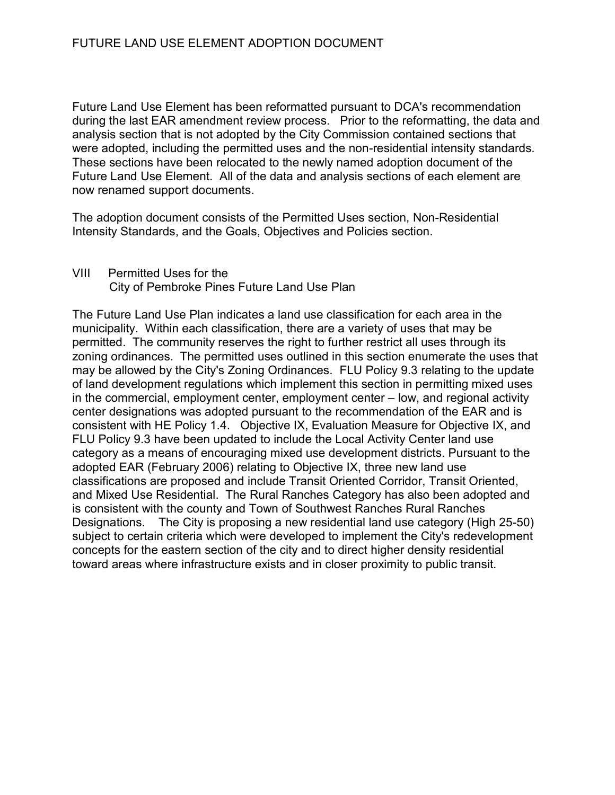Future Land Use Element has been reformatted pursuant to DCA's recommendation during the last EAR amendment review process. Prior to the reformatting, the data and analysis section that is not adopted by the City Commission contained sections that were adopted, including the permitted uses and the non-residential intensity standards. These sections have been relocated to the newly named adoption document of the Future Land Use Element. All of the data and analysis sections of each element are now renamed support documents.

The adoption document consists of the Permitted Uses section, Non-Residential Intensity Standards, and the Goals, Objectives and Policies section.

VIII Permitted Uses for the City of Pembroke Pines Future Land Use Plan

The Future Land Use Plan indicates a land use classification for each area in the municipality. Within each classification, there are a variety of uses that may be permitted. The community reserves the right to further restrict all uses through its zoning ordinances. The permitted uses outlined in this section enumerate the uses that may be allowed by the City's Zoning Ordinances. FLU Policy 9.3 relating to the update of land development regulations which implement this section in permitting mixed uses in the commercial, employment center, employment center – low, and regional activity center designations was adopted pursuant to the recommendation of the EAR and is consistent with HE Policy 1.4. Objective IX, Evaluation Measure for Objective IX, and FLU Policy 9.3 have been updated to include the Local Activity Center land use category as a means of encouraging mixed use development districts. Pursuant to the adopted EAR (February 2006) relating to Objective IX, three new land use classifications are proposed and include Transit Oriented Corridor, Transit Oriented, and Mixed Use Residential. The Rural Ranches Category has also been adopted and is consistent with the county and Town of Southwest Ranches Rural Ranches Designations. The City is proposing a new residential land use category (High 25-50) subject to certain criteria which were developed to implement the City's redevelopment concepts for the eastern section of the city and to direct higher density residential toward areas where infrastructure exists and in closer proximity to public transit.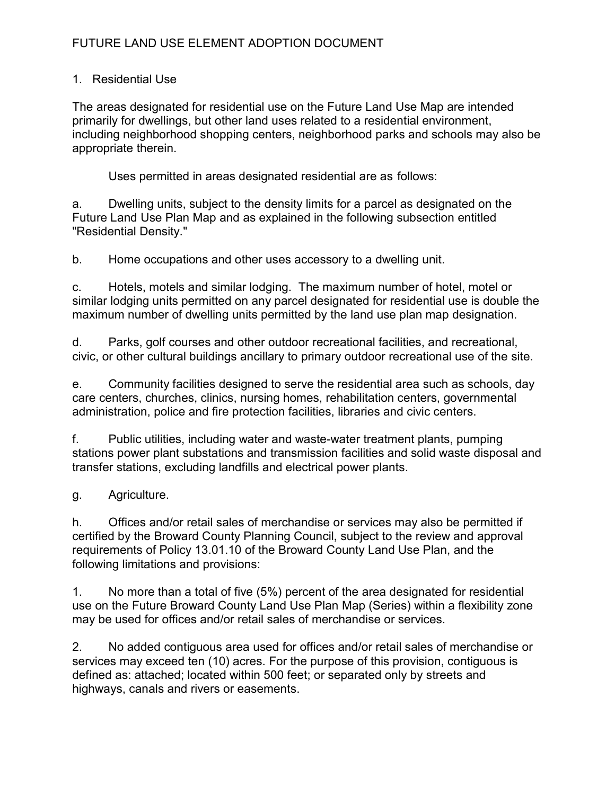### 1. Residential Use

The areas designated for residential use on the Future Land Use Map are intended primarily for dwellings, but other land uses related to a residential environment, including neighborhood shopping centers, neighborhood parks and schools may also be appropriate therein.

Uses permitted in areas designated residential are as follows:

a. Dwelling units, subject to the density limits for a parcel as designated on the Future Land Use Plan Map and as explained in the following subsection entitled "Residential Density."

b. Home occupations and other uses accessory to a dwelling unit.

c. Hotels, motels and similar lodging. The maximum number of hotel, motel or similar lodging units permitted on any parcel designated for residential use is double the maximum number of dwelling units permitted by the land use plan map designation.

d. Parks, golf courses and other outdoor recreational facilities, and recreational, civic, or other cultural buildings ancillary to primary outdoor recreational use of the site.

e. Community facilities designed to serve the residential area such as schools, day care centers, churches, clinics, nursing homes, rehabilitation centers, governmental administration, police and fire protection facilities, libraries and civic centers.

f. Public utilities, including water and waste-water treatment plants, pumping stations power plant substations and transmission facilities and solid waste disposal and transfer stations, excluding landfills and electrical power plants.

## g. Agriculture.

h. Offices and/or retail sales of merchandise or services may also be permitted if certified by the Broward County Planning Council, subject to the review and approval requirements of Policy 13.01.10 of the Broward County Land Use Plan, and the following limitations and provisions:

1. No more than a total of five (5%) percent of the area designated for residential use on the Future Broward County Land Use Plan Map (Series) within a flexibility zone may be used for offices and/or retail sales of merchandise or services.

2. No added contiguous area used for offices and/or retail sales of merchandise or services may exceed ten (10) acres. For the purpose of this provision, contiguous is defined as: attached; located within 500 feet; or separated only by streets and highways, canals and rivers or easements.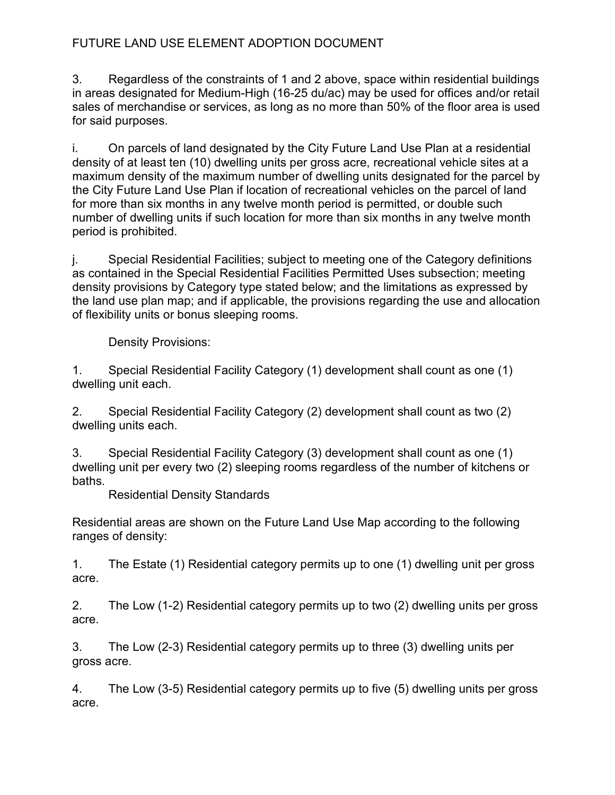3. Regardless of the constraints of 1 and 2 above, space within residential buildings in areas designated for Medium-High (16-25 du/ac) may be used for offices and/or retail sales of merchandise or services, as long as no more than 50% of the floor area is used for said purposes.

i. On parcels of land designated by the City Future Land Use Plan at a residential density of at least ten (10) dwelling units per gross acre, recreational vehicle sites at a maximum density of the maximum number of dwelling units designated for the parcel by the City Future Land Use Plan if location of recreational vehicles on the parcel of land for more than six months in any twelve month period is permitted, or double such number of dwelling units if such location for more than six months in any twelve month period is prohibited.

j. Special Residential Facilities; subject to meeting one of the Category definitions as contained in the Special Residential Facilities Permitted Uses subsection; meeting density provisions by Category type stated below; and the limitations as expressed by the land use plan map; and if applicable, the provisions regarding the use and allocation of flexibility units or bonus sleeping rooms.

Density Provisions:

1. Special Residential Facility Category (1) development shall count as one (1) dwelling unit each.

2. Special Residential Facility Category (2) development shall count as two (2) dwelling units each.

3. Special Residential Facility Category (3) development shall count as one (1) dwelling unit per every two (2) sleeping rooms regardless of the number of kitchens or baths.

Residential Density Standards

Residential areas are shown on the Future Land Use Map according to the following ranges of density:

1. The Estate (1) Residential category permits up to one (1) dwelling unit per gross acre.

2. The Low (1-2) Residential category permits up to two (2) dwelling units per gross acre.

3. The Low (2-3) Residential category permits up to three (3) dwelling units per gross acre.

4. The Low (3-5) Residential category permits up to five (5) dwelling units per gross acre.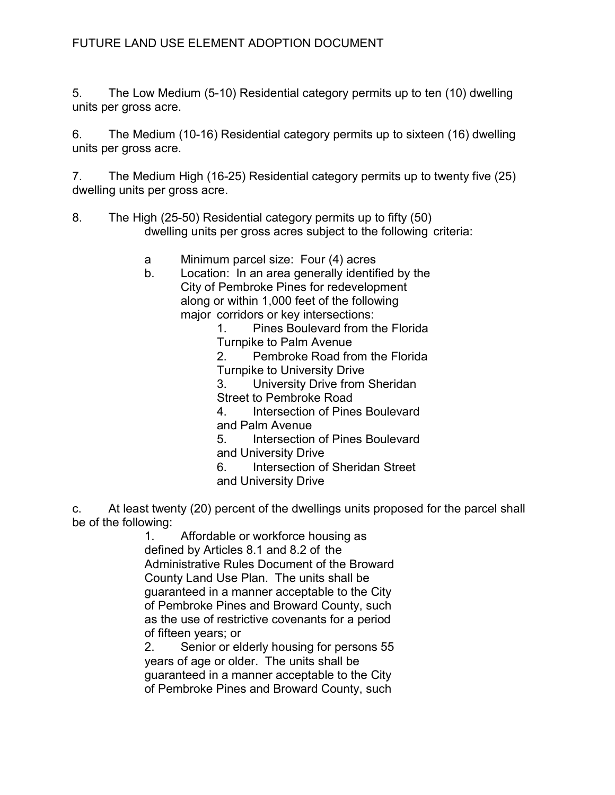5. The Low Medium (5-10) Residential category permits up to ten (10) dwelling units per gross acre.

6. The Medium (10-16) Residential category permits up to sixteen (16) dwelling units per gross acre.

7. The Medium High (16-25) Residential category permits up to twenty five (25) dwelling units per gross acre.

- 8. The High (25-50) Residential category permits up to fifty (50) dwelling units per gross acres subject to the following criteria:
	- a Minimum parcel size: Four (4) acres
	- b. Location: In an area generally identified by the City of Pembroke Pines for redevelopment along or within 1,000 feet of the following major corridors or key intersections:

 1. Pines Boulevard from the Florida Turnpike to Palm Avenue

 2. Pembroke Road from the Florida Turnpike to University Drive

3. University Drive from Sheridan

Street to Pembroke Road

4. Intersection of Pines Boulevard

and Palm Avenue

 5. Intersection of Pines Boulevard and University Drive

6. Intersection of Sheridan Street

and University Drive

c. At least twenty (20) percent of the dwellings units proposed for the parcel shall be of the following:

 1. Affordable or workforce housing as defined by Articles 8.1 and 8.2 of the Administrative Rules Document of the Broward County Land Use Plan. The units shall be guaranteed in a manner acceptable to the City of Pembroke Pines and Broward County, such as the use of restrictive covenants for a period of fifteen years; or

 2. Senior or elderly housing for persons 55 years of age or older. The units shall be guaranteed in a manner acceptable to the City of Pembroke Pines and Broward County, such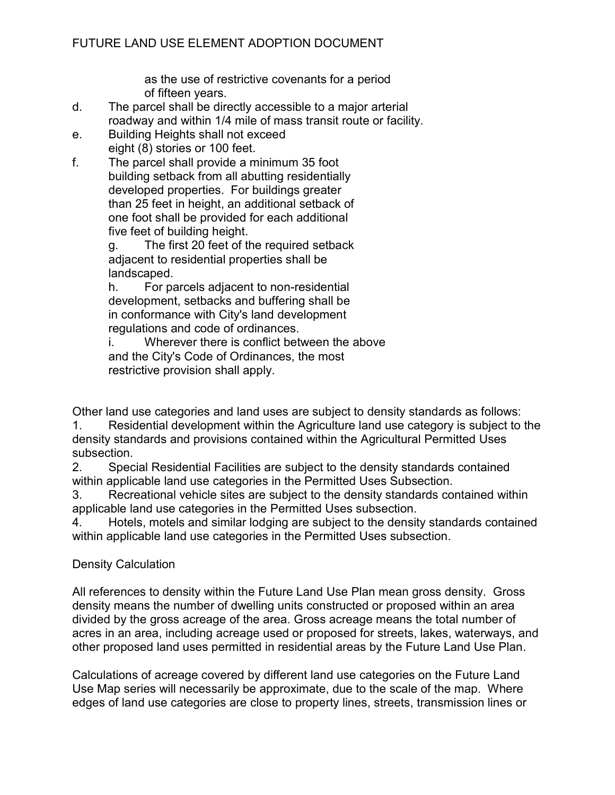as the use of restrictive covenants for a period of fifteen years.

- d. The parcel shall be directly accessible to a major arterial roadway and within 1/4 mile of mass transit route or facility.
- e. Building Heights shall not exceed eight (8) stories or 100 feet.
- f. The parcel shall provide a minimum 35 foot building setback from all abutting residentially developed properties. For buildings greater than 25 feet in height, an additional setback of one foot shall be provided for each additional five feet of building height.

 g. The first 20 feet of the required setback adjacent to residential properties shall be landscaped.

 h. For parcels adjacent to non-residential development, setbacks and buffering shall be in conformance with City's land development regulations and code of ordinances.

 i. Wherever there is conflict between the above and the City's Code of Ordinances, the most restrictive provision shall apply.

Other land use categories and land uses are subject to density standards as follows:

1. Residential development within the Agriculture land use category is subject to the density standards and provisions contained within the Agricultural Permitted Uses subsection.

2. Special Residential Facilities are subject to the density standards contained within applicable land use categories in the Permitted Uses Subsection.

3. Recreational vehicle sites are subject to the density standards contained within applicable land use categories in the Permitted Uses subsection.

4. Hotels, motels and similar lodging are subject to the density standards contained within applicable land use categories in the Permitted Uses subsection.

## Density Calculation

All references to density within the Future Land Use Plan mean gross density. Gross density means the number of dwelling units constructed or proposed within an area divided by the gross acreage of the area. Gross acreage means the total number of acres in an area, including acreage used or proposed for streets, lakes, waterways, and other proposed land uses permitted in residential areas by the Future Land Use Plan.

Calculations of acreage covered by different land use categories on the Future Land Use Map series will necessarily be approximate, due to the scale of the map. Where edges of land use categories are close to property lines, streets, transmission lines or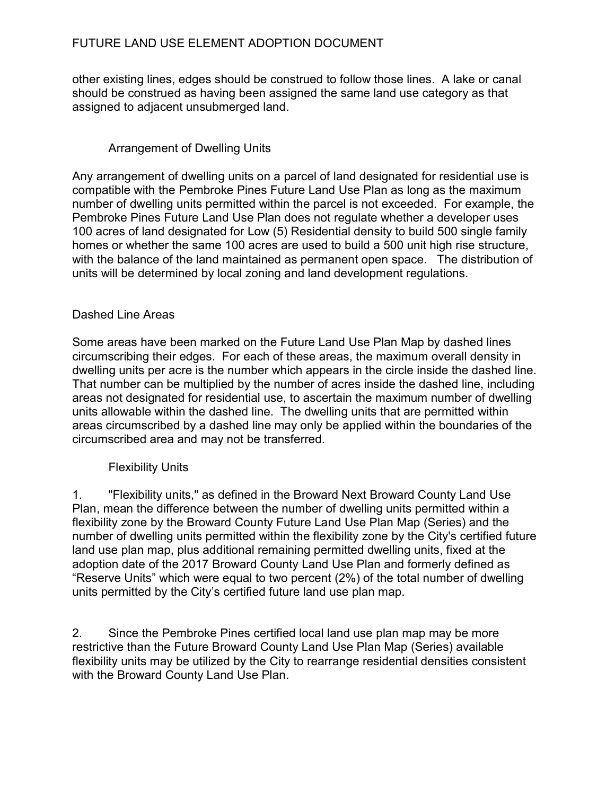other existing lines, edges should be construed to follow those lines. A lake or canal should be construed as having been assigned the same land use category as that assigned to adjacent unsubmerged land.

## Arrangement of Dwelling Units

Any arrangement of dwelling units on a parcel of land designated for residential use is compatible with the Pembroke Pines Future Land Use Plan as long as the maximum number of dwelling units permitted within the parcel is not exceeded. For example, the Pembroke Pines Future Land Use Plan does not regulate whether a developer uses 100 acres of land designated for Low (5) Residential density to build 500 single family homes or whether the same 100 acres are used to build a 500 unit high rise structure, with the balance of the land maintained as permanent open space. The distribution of units will be determined by local zoning and land development regulations.

### Dashed Line Areas

Some areas have been marked on the Future Land Use Plan Map by dashed lines circumscribing their edges. For each of these areas, the maximum overall density in dwelling units per acre is the number which appears in the circle inside the dashed line. That number can be multiplied by the number of acres inside the dashed line, including areas not designated for residential use, to ascertain the maximum number of dwelling units allowable within the dashed line. The dwelling units that are permitted within areas circumscribed by a dashed line may only be applied within the boundaries of the circumscribed area and may not be transferred.

### Flexibility Units

1. "Flexibility units," as defined in the Broward Next Broward County Land Use Plan, mean the difference between the number of dwelling units permitted within a flexibility zone by the Broward County Future Land Use Plan Map (Series) and the number of dwelling units permitted within the flexibility zone by the City's certified future land use plan map, plus additional remaining permitted dwelling units, fixed at the adoption date of the 2017 Broward County Land Use Plan and formerly defined as "Reserve Units" which were equal to two percent (2%) of the total number of dwelling units permitted by the City's certified future land use plan map.

2. Since the Pembroke Pines certified local land use plan map may be more restrictive than the Future Broward County Land Use Plan Map (Series) available flexibility units may be utilized by the City to rearrange residential densities consistent with the Broward County Land Use Plan.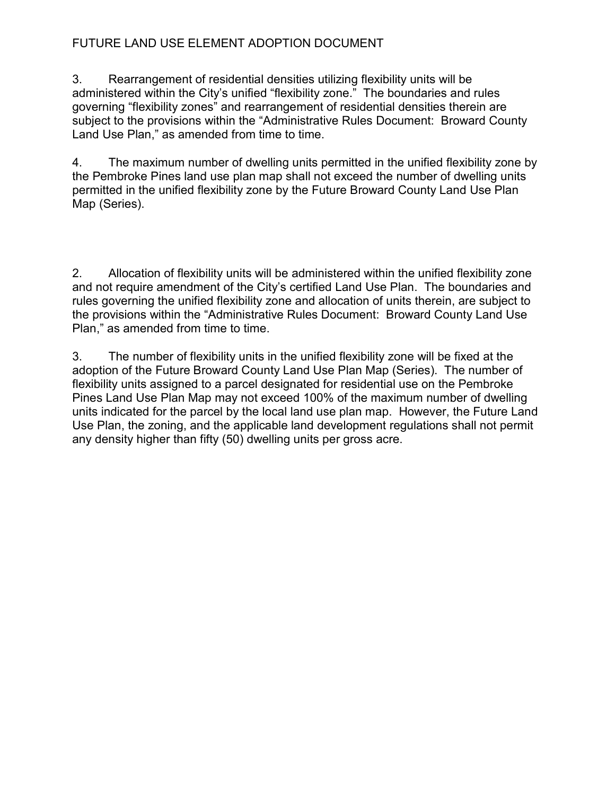3. Rearrangement of residential densities utilizing flexibility units will be administered within the City's unified "flexibility zone." The boundaries and rules governing "flexibility zones" and rearrangement of residential densities therein are subject to the provisions within the "Administrative Rules Document: Broward County Land Use Plan," as amended from time to time.

4. The maximum number of dwelling units permitted in the unified flexibility zone by the Pembroke Pines land use plan map shall not exceed the number of dwelling units permitted in the unified flexibility zone by the Future Broward County Land Use Plan Map (Series).

2. Allocation of flexibility units will be administered within the unified flexibility zone and not require amendment of the City's certified Land Use Plan. The boundaries and rules governing the unified flexibility zone and allocation of units therein, are subject to the provisions within the "Administrative Rules Document: Broward County Land Use Plan," as amended from time to time.

3. The number of flexibility units in the unified flexibility zone will be fixed at the adoption of the Future Broward County Land Use Plan Map (Series). The number of flexibility units assigned to a parcel designated for residential use on the Pembroke Pines Land Use Plan Map may not exceed 100% of the maximum number of dwelling units indicated for the parcel by the local land use plan map. However, the Future Land Use Plan, the zoning, and the applicable land development regulations shall not permit any density higher than fifty (50) dwelling units per gross acre.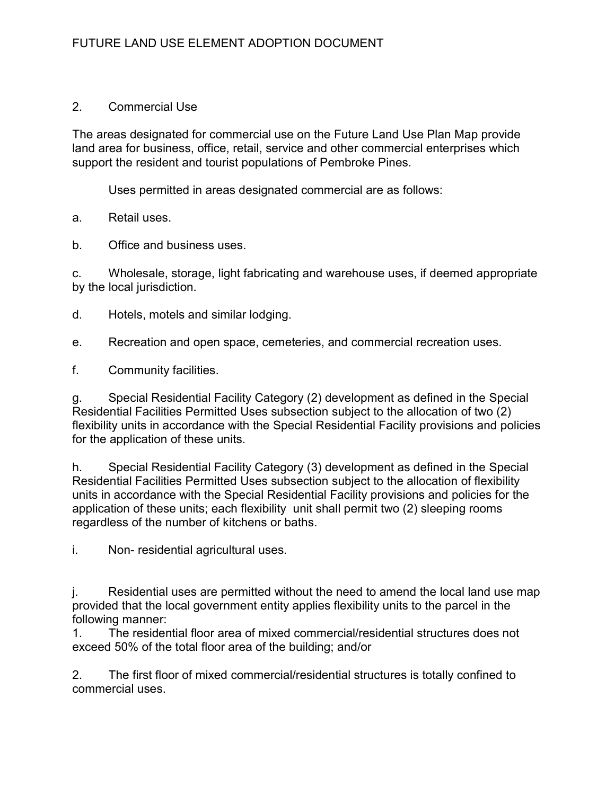### 2. Commercial Use

The areas designated for commercial use on the Future Land Use Plan Map provide land area for business, office, retail, service and other commercial enterprises which support the resident and tourist populations of Pembroke Pines.

Uses permitted in areas designated commercial are as follows:

a. Retail uses.

b. Office and business uses.

c. Wholesale, storage, light fabricating and warehouse uses, if deemed appropriate by the local jurisdiction.

d. Hotels, motels and similar lodging.

e. Recreation and open space, cemeteries, and commercial recreation uses.

f. Community facilities.

g. Special Residential Facility Category (2) development as defined in the Special Residential Facilities Permitted Uses subsection subject to the allocation of two (2) flexibility units in accordance with the Special Residential Facility provisions and policies for the application of these units.

h. Special Residential Facility Category (3) development as defined in the Special Residential Facilities Permitted Uses subsection subject to the allocation of flexibility units in accordance with the Special Residential Facility provisions and policies for the application of these units; each flexibility unit shall permit two (2) sleeping rooms regardless of the number of kitchens or baths.

i. Non- residential agricultural uses.

j. Residential uses are permitted without the need to amend the local land use map provided that the local government entity applies flexibility units to the parcel in the following manner:

1. The residential floor area of mixed commercial/residential structures does not exceed 50% of the total floor area of the building; and/or

2. The first floor of mixed commercial/residential structures is totally confined to commercial uses.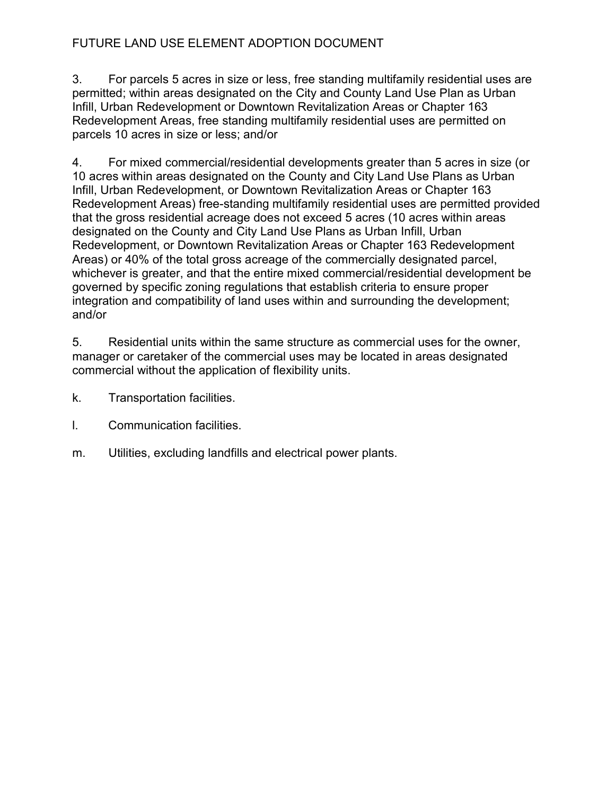3. For parcels 5 acres in size or less, free standing multifamily residential uses are permitted; within areas designated on the City and County Land Use Plan as Urban Infill, Urban Redevelopment or Downtown Revitalization Areas or Chapter 163 Redevelopment Areas, free standing multifamily residential uses are permitted on parcels 10 acres in size or less; and/or

4. For mixed commercial/residential developments greater than 5 acres in size (or 10 acres within areas designated on the County and City Land Use Plans as Urban Infill, Urban Redevelopment, or Downtown Revitalization Areas or Chapter 163 Redevelopment Areas) free-standing multifamily residential uses are permitted provided that the gross residential acreage does not exceed 5 acres (10 acres within areas designated on the County and City Land Use Plans as Urban Infill, Urban Redevelopment, or Downtown Revitalization Areas or Chapter 163 Redevelopment Areas) or 40% of the total gross acreage of the commercially designated parcel, whichever is greater, and that the entire mixed commercial/residential development be governed by specific zoning regulations that establish criteria to ensure proper integration and compatibility of land uses within and surrounding the development; and/or

5. Residential units within the same structure as commercial uses for the owner, manager or caretaker of the commercial uses may be located in areas designated commercial without the application of flexibility units.

- k. Transportation facilities.
- l. Communication facilities.
- m. Utilities, excluding landfills and electrical power plants.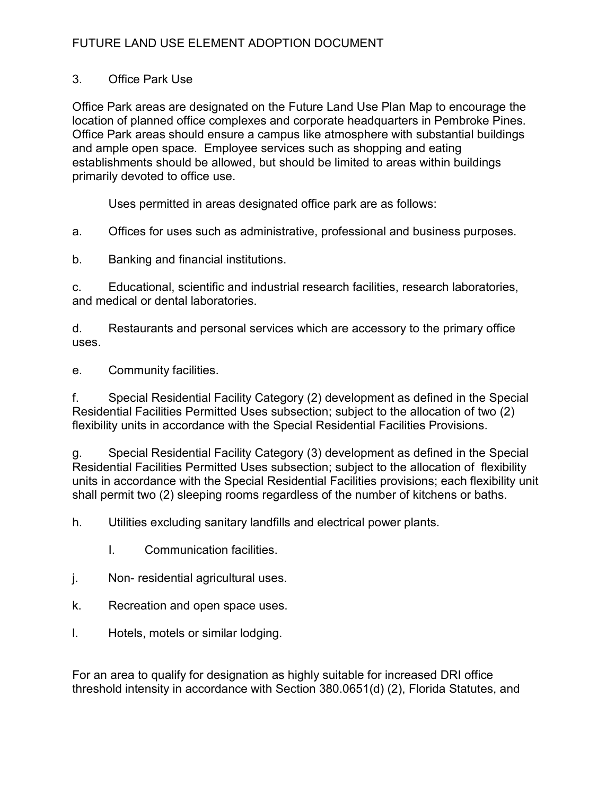### 3. Office Park Use

Office Park areas are designated on the Future Land Use Plan Map to encourage the location of planned office complexes and corporate headquarters in Pembroke Pines. Office Park areas should ensure a campus like atmosphere with substantial buildings and ample open space. Employee services such as shopping and eating establishments should be allowed, but should be limited to areas within buildings primarily devoted to office use.

Uses permitted in areas designated office park are as follows:

a. Offices for uses such as administrative, professional and business purposes.

b. Banking and financial institutions.

c. Educational, scientific and industrial research facilities, research laboratories, and medical or dental laboratories.

d. Restaurants and personal services which are accessory to the primary office uses.

e. Community facilities.

f. Special Residential Facility Category (2) development as defined in the Special Residential Facilities Permitted Uses subsection; subject to the allocation of two (2) flexibility units in accordance with the Special Residential Facilities Provisions.

g. Special Residential Facility Category (3) development as defined in the Special Residential Facilities Permitted Uses subsection; subject to the allocation of flexibility units in accordance with the Special Residential Facilities provisions; each flexibility unit shall permit two (2) sleeping rooms regardless of the number of kitchens or baths.

h. Utilities excluding sanitary landfills and electrical power plants.

- I. Communication facilities.
- j. Non- residential agricultural uses.
- k. Recreation and open space uses.
- l. Hotels, motels or similar lodging.

For an area to qualify for designation as highly suitable for increased DRI office threshold intensity in accordance with Section 380.0651(d) (2), Florida Statutes, and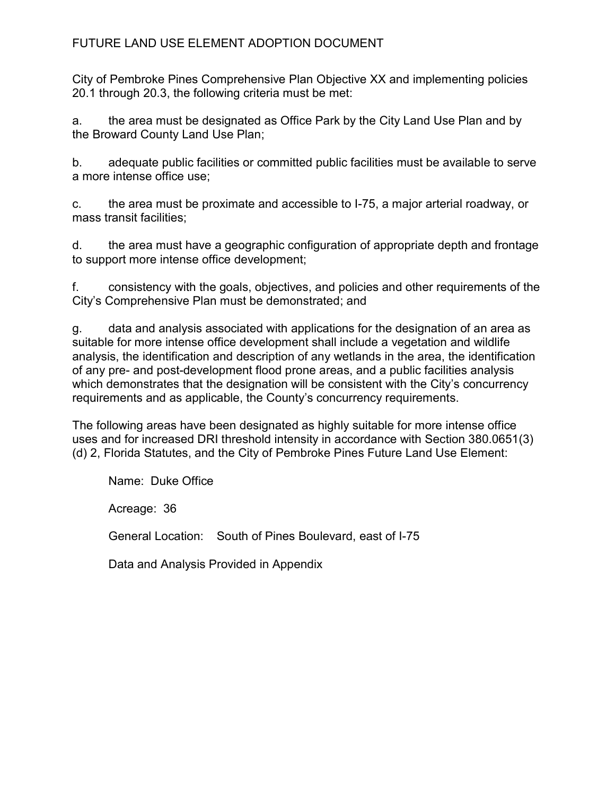City of Pembroke Pines Comprehensive Plan Objective XX and implementing policies 20.1 through 20.3, the following criteria must be met:

a. the area must be designated as Office Park by the City Land Use Plan and by the Broward County Land Use Plan;

b. adequate public facilities or committed public facilities must be available to serve a more intense office use;

c. the area must be proximate and accessible to I-75, a major arterial roadway, or mass transit facilities;

d. the area must have a geographic configuration of appropriate depth and frontage to support more intense office development;

f. consistency with the goals, objectives, and policies and other requirements of the City's Comprehensive Plan must be demonstrated; and

g. data and analysis associated with applications for the designation of an area as suitable for more intense office development shall include a vegetation and wildlife analysis, the identification and description of any wetlands in the area, the identification of any pre- and post-development flood prone areas, and a public facilities analysis which demonstrates that the designation will be consistent with the City's concurrency requirements and as applicable, the County's concurrency requirements.

The following areas have been designated as highly suitable for more intense office uses and for increased DRI threshold intensity in accordance with Section 380.0651(3) (d) 2, Florida Statutes, and the City of Pembroke Pines Future Land Use Element:

 Name: Duke Office Acreage: 36 General Location: South of Pines Boulevard, east of I-75

Data and Analysis Provided in Appendix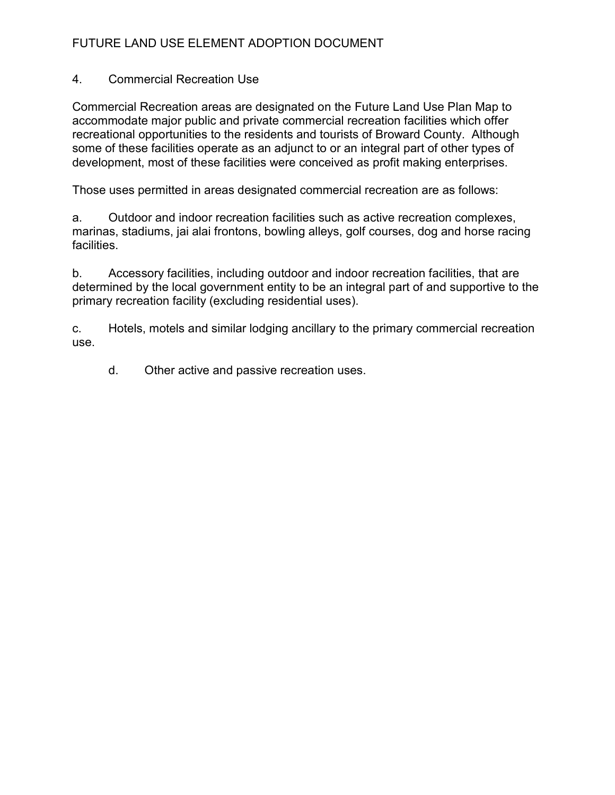### 4. Commercial Recreation Use

Commercial Recreation areas are designated on the Future Land Use Plan Map to accommodate major public and private commercial recreation facilities which offer recreational opportunities to the residents and tourists of Broward County. Although some of these facilities operate as an adjunct to or an integral part of other types of development, most of these facilities were conceived as profit making enterprises.

Those uses permitted in areas designated commercial recreation are as follows:

a. Outdoor and indoor recreation facilities such as active recreation complexes, marinas, stadiums, jai alai frontons, bowling alleys, golf courses, dog and horse racing facilities.

b. Accessory facilities, including outdoor and indoor recreation facilities, that are determined by the local government entity to be an integral part of and supportive to the primary recreation facility (excluding residential uses).

c. Hotels, motels and similar lodging ancillary to the primary commercial recreation use.

d. Other active and passive recreation uses.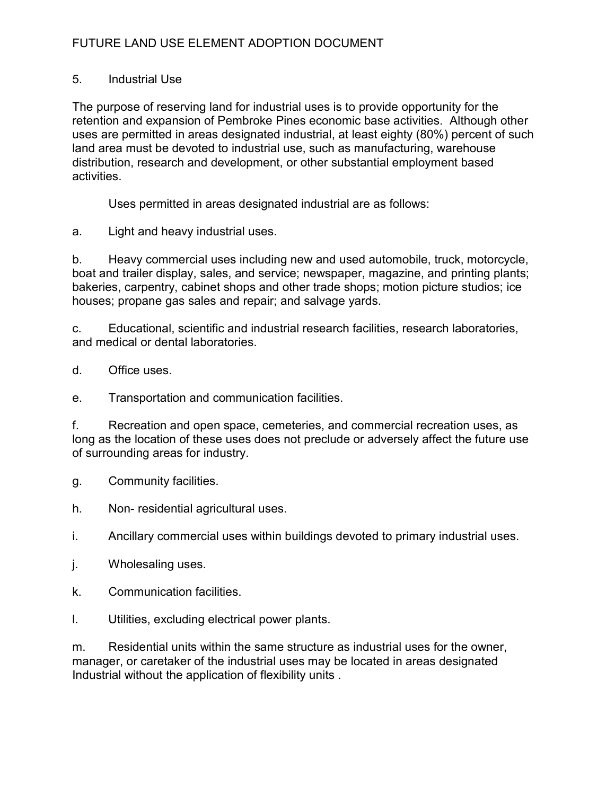### 5. Industrial Use

The purpose of reserving land for industrial uses is to provide opportunity for the retention and expansion of Pembroke Pines economic base activities. Although other uses are permitted in areas designated industrial, at least eighty (80%) percent of such land area must be devoted to industrial use, such as manufacturing, warehouse distribution, research and development, or other substantial employment based activities.

Uses permitted in areas designated industrial are as follows:

a. Light and heavy industrial uses.

b. Heavy commercial uses including new and used automobile, truck, motorcycle, boat and trailer display, sales, and service; newspaper, magazine, and printing plants; bakeries, carpentry, cabinet shops and other trade shops; motion picture studios; ice houses; propane gas sales and repair; and salvage yards.

c. Educational, scientific and industrial research facilities, research laboratories, and medical or dental laboratories.

d. Office uses.

e. Transportation and communication facilities.

f. Recreation and open space, cemeteries, and commercial recreation uses, as long as the location of these uses does not preclude or adversely affect the future use of surrounding areas for industry.

g. Community facilities.

h. Non- residential agricultural uses.

i. Ancillary commercial uses within buildings devoted to primary industrial uses.

- j. Wholesaling uses.
- k. Communication facilities.
- l. Utilities, excluding electrical power plants.

m. Residential units within the same structure as industrial uses for the owner, manager, or caretaker of the industrial uses may be located in areas designated Industrial without the application of flexibility units .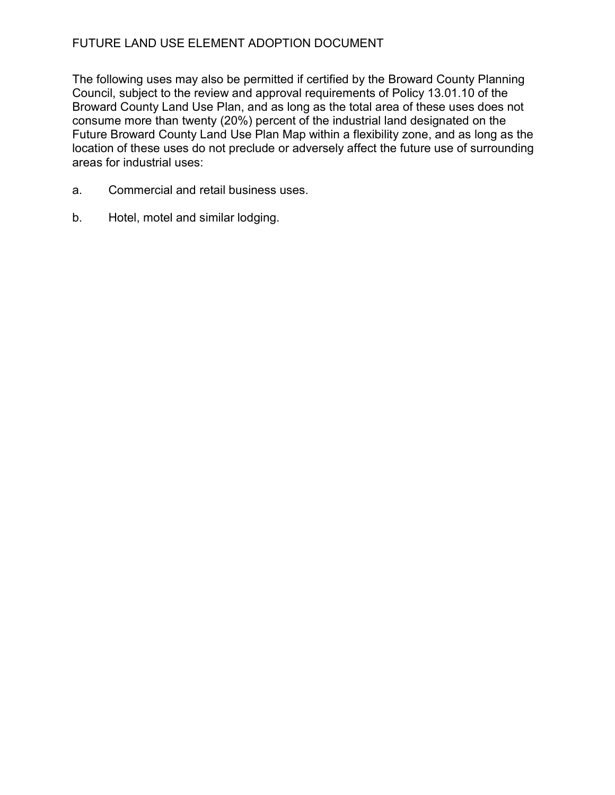The following uses may also be permitted if certified by the Broward County Planning Council, subject to the review and approval requirements of Policy 13.01.10 of the Broward County Land Use Plan, and as long as the total area of these uses does not consume more than twenty (20%) percent of the industrial land designated on the Future Broward County Land Use Plan Map within a flexibility zone, and as long as the location of these uses do not preclude or adversely affect the future use of surrounding areas for industrial uses:

- a. Commercial and retail business uses.
- b. Hotel, motel and similar lodging.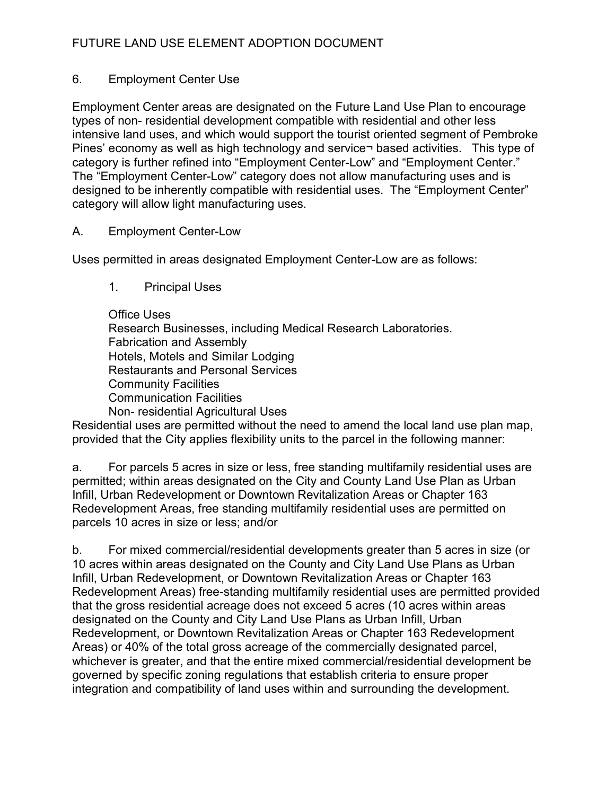### 6. Employment Center Use

Employment Center areas are designated on the Future Land Use Plan to encourage types of non- residential development compatible with residential and other less intensive land uses, and which would support the tourist oriented segment of Pembroke Pines' economy as well as high technology and service¬ based activities. This type of category is further refined into "Employment Center-Low" and "Employment Center." The "Employment Center-Low" category does not allow manufacturing uses and is designed to be inherently compatible with residential uses. The "Employment Center" category will allow light manufacturing uses.

### A. Employment Center-Low

Uses permitted in areas designated Employment Center-Low are as follows:

- 1. Principal Uses
- Office Uses Research Businesses, including Medical Research Laboratories. Fabrication and Assembly Hotels, Motels and Similar Lodging Restaurants and Personal Services Community Facilities Communication Facilities Non- residential Agricultural Uses

Residential uses are permitted without the need to amend the local land use plan map, provided that the City applies flexibility units to the parcel in the following manner:

a. For parcels 5 acres in size or less, free standing multifamily residential uses are permitted; within areas designated on the City and County Land Use Plan as Urban Infill, Urban Redevelopment or Downtown Revitalization Areas or Chapter 163 Redevelopment Areas, free standing multifamily residential uses are permitted on parcels 10 acres in size or less; and/or

b. For mixed commercial/residential developments greater than 5 acres in size (or 10 acres within areas designated on the County and City Land Use Plans as Urban Infill, Urban Redevelopment, or Downtown Revitalization Areas or Chapter 163 Redevelopment Areas) free-standing multifamily residential uses are permitted provided that the gross residential acreage does not exceed 5 acres (10 acres within areas designated on the County and City Land Use Plans as Urban Infill, Urban Redevelopment, or Downtown Revitalization Areas or Chapter 163 Redevelopment Areas) or 40% of the total gross acreage of the commercially designated parcel, whichever is greater, and that the entire mixed commercial/residential development be governed by specific zoning regulations that establish criteria to ensure proper integration and compatibility of land uses within and surrounding the development.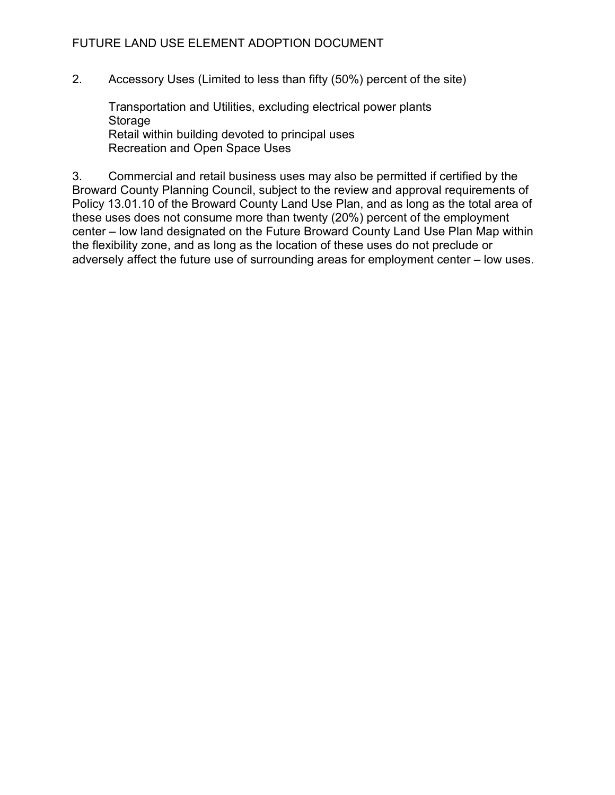2. Accessory Uses (Limited to less than fifty (50%) percent of the site)

 Transportation and Utilities, excluding electrical power plants Storage Retail within building devoted to principal uses Recreation and Open Space Uses

3. Commercial and retail business uses may also be permitted if certified by the Broward County Planning Council, subject to the review and approval requirements of Policy 13.01.10 of the Broward County Land Use Plan, and as long as the total area of these uses does not consume more than twenty (20%) percent of the employment center – low land designated on the Future Broward County Land Use Plan Map within the flexibility zone, and as long as the location of these uses do not preclude or adversely affect the future use of surrounding areas for employment center – low uses.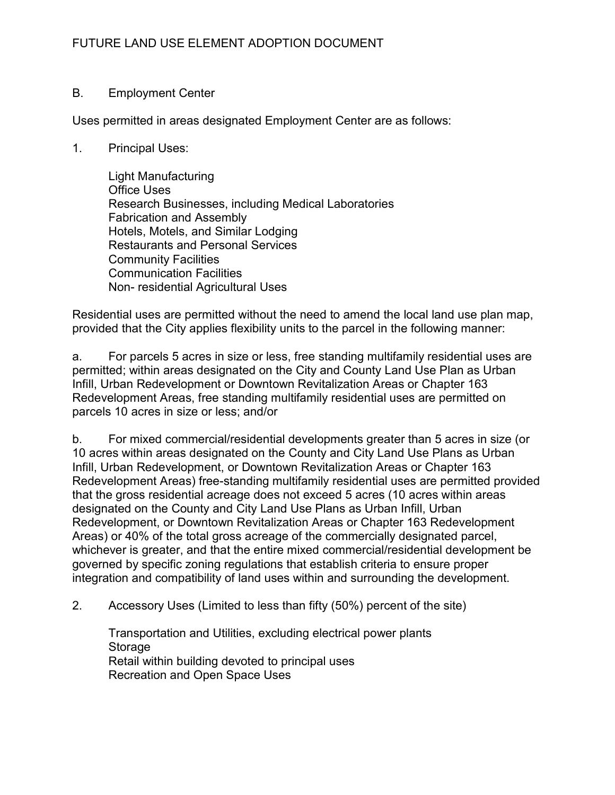### B. Employment Center

Uses permitted in areas designated Employment Center are as follows:

1. Principal Uses:

 Light Manufacturing Office Uses Research Businesses, including Medical Laboratories Fabrication and Assembly Hotels, Motels, and Similar Lodging Restaurants and Personal Services Community Facilities Communication Facilities Non- residential Agricultural Uses

Residential uses are permitted without the need to amend the local land use plan map, provided that the City applies flexibility units to the parcel in the following manner:

a. For parcels 5 acres in size or less, free standing multifamily residential uses are permitted; within areas designated on the City and County Land Use Plan as Urban Infill, Urban Redevelopment or Downtown Revitalization Areas or Chapter 163 Redevelopment Areas, free standing multifamily residential uses are permitted on parcels 10 acres in size or less; and/or

b. For mixed commercial/residential developments greater than 5 acres in size (or 10 acres within areas designated on the County and City Land Use Plans as Urban Infill, Urban Redevelopment, or Downtown Revitalization Areas or Chapter 163 Redevelopment Areas) free-standing multifamily residential uses are permitted provided that the gross residential acreage does not exceed 5 acres (10 acres within areas designated on the County and City Land Use Plans as Urban Infill, Urban Redevelopment, or Downtown Revitalization Areas or Chapter 163 Redevelopment Areas) or 40% of the total gross acreage of the commercially designated parcel, whichever is greater, and that the entire mixed commercial/residential development be governed by specific zoning regulations that establish criteria to ensure proper integration and compatibility of land uses within and surrounding the development.

2. Accessory Uses (Limited to less than fifty (50%) percent of the site)

 Transportation and Utilities, excluding electrical power plants **Storage**  Retail within building devoted to principal uses Recreation and Open Space Uses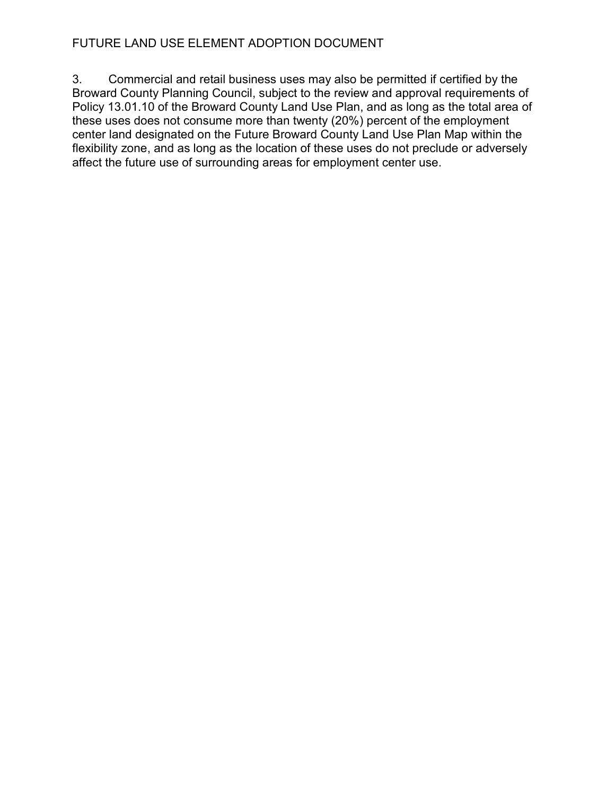3. Commercial and retail business uses may also be permitted if certified by the Broward County Planning Council, subject to the review and approval requirements of Policy 13.01.10 of the Broward County Land Use Plan, and as long as the total area of these uses does not consume more than twenty (20%) percent of the employment center land designated on the Future Broward County Land Use Plan Map within the flexibility zone, and as long as the location of these uses do not preclude or adversely affect the future use of surrounding areas for employment center use.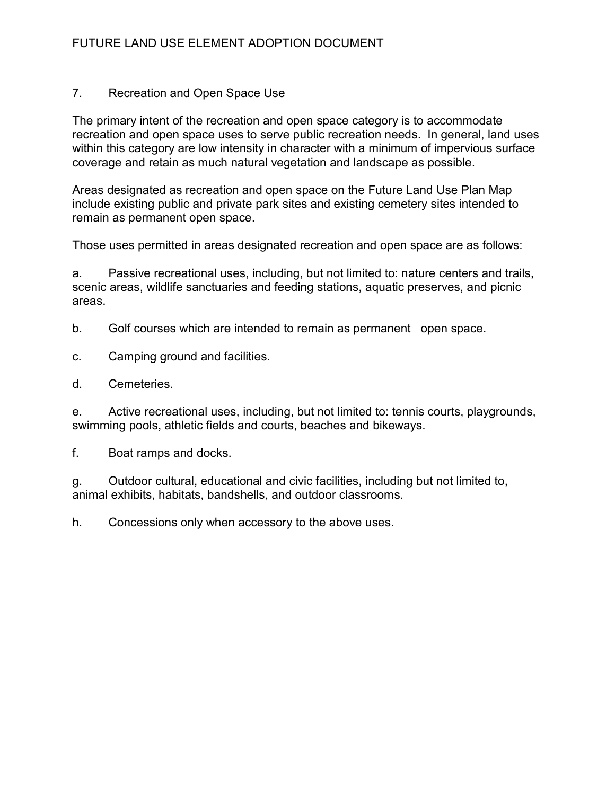### 7. Recreation and Open Space Use

The primary intent of the recreation and open space category is to accommodate recreation and open space uses to serve public recreation needs. In general, land uses within this category are low intensity in character with a minimum of impervious surface coverage and retain as much natural vegetation and landscape as possible.

Areas designated as recreation and open space on the Future Land Use Plan Map include existing public and private park sites and existing cemetery sites intended to remain as permanent open space.

Those uses permitted in areas designated recreation and open space are as follows:

a. Passive recreational uses, including, but not limited to: nature centers and trails, scenic areas, wildlife sanctuaries and feeding stations, aquatic preserves, and picnic areas.

b. Golf courses which are intended to remain as permanent open space.

c. Camping ground and facilities.

d. Cemeteries.

e. Active recreational uses, including, but not limited to: tennis courts, playgrounds, swimming pools, athletic fields and courts, beaches and bikeways.

f. Boat ramps and docks.

g. Outdoor cultural, educational and civic facilities, including but not limited to, animal exhibits, habitats, bandshells, and outdoor classrooms.

h. Concessions only when accessory to the above uses.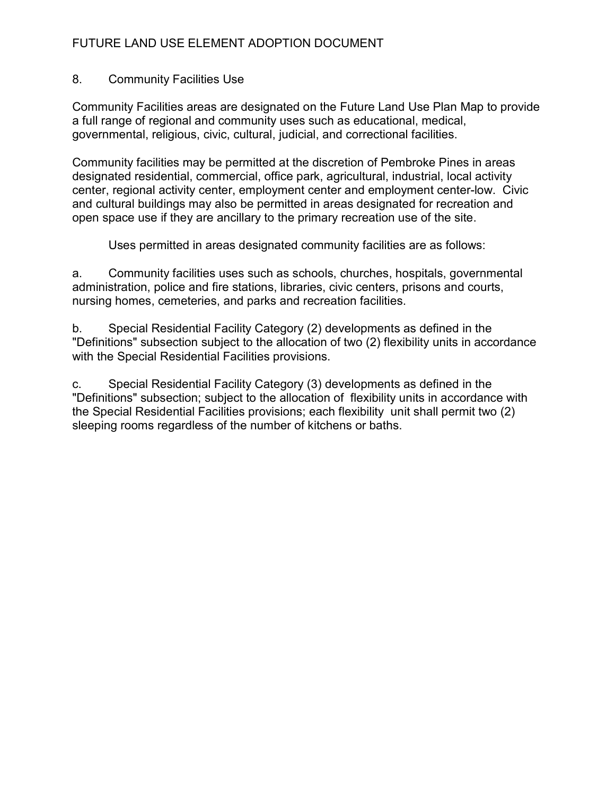### 8. Community Facilities Use

Community Facilities areas are designated on the Future Land Use Plan Map to provide a full range of regional and community uses such as educational, medical, governmental, religious, civic, cultural, judicial, and correctional facilities.

Community facilities may be permitted at the discretion of Pembroke Pines in areas designated residential, commercial, office park, agricultural, industrial, local activity center, regional activity center, employment center and employment center-low. Civic and cultural buildings may also be permitted in areas designated for recreation and open space use if they are ancillary to the primary recreation use of the site.

Uses permitted in areas designated community facilities are as follows:

a. Community facilities uses such as schools, churches, hospitals, governmental administration, police and fire stations, libraries, civic centers, prisons and courts, nursing homes, cemeteries, and parks and recreation facilities.

b. Special Residential Facility Category (2) developments as defined in the "Definitions" subsection subject to the allocation of two (2) flexibility units in accordance with the Special Residential Facilities provisions.

c. Special Residential Facility Category (3) developments as defined in the "Definitions" subsection; subject to the allocation of flexibility units in accordance with the Special Residential Facilities provisions; each flexibility unit shall permit two (2) sleeping rooms regardless of the number of kitchens or baths.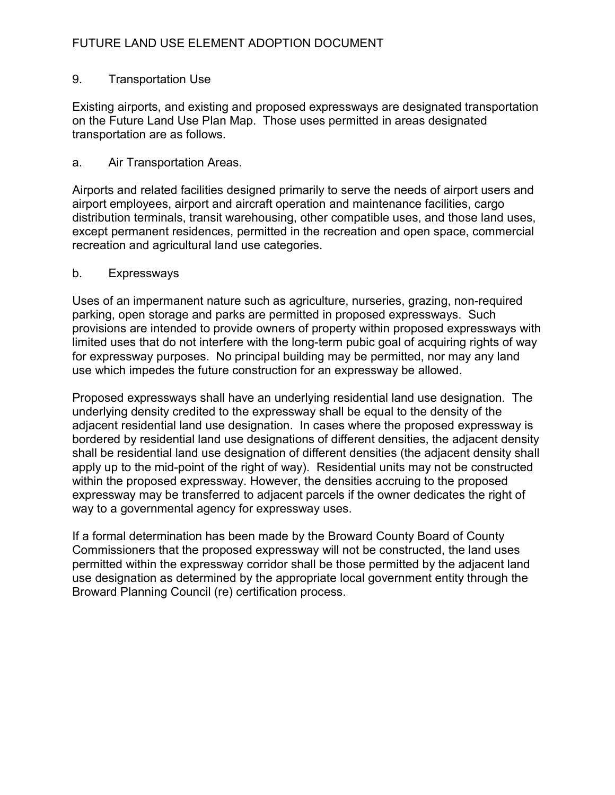### 9. Transportation Use

Existing airports, and existing and proposed expressways are designated transportation on the Future Land Use Plan Map. Those uses permitted in areas designated transportation are as follows.

### a. Air Transportation Areas.

Airports and related facilities designed primarily to serve the needs of airport users and airport employees, airport and aircraft operation and maintenance facilities, cargo distribution terminals, transit warehousing, other compatible uses, and those land uses, except permanent residences, permitted in the recreation and open space, commercial recreation and agricultural land use categories.

### b. Expressways

Uses of an impermanent nature such as agriculture, nurseries, grazing, non-required parking, open storage and parks are permitted in proposed expressways. Such provisions are intended to provide owners of property within proposed expressways with limited uses that do not interfere with the long-term pubic goal of acquiring rights of way for expressway purposes. No principal building may be permitted, nor may any land use which impedes the future construction for an expressway be allowed.

Proposed expressways shall have an underlying residential land use designation. The underlying density credited to the expressway shall be equal to the density of the adjacent residential land use designation. In cases where the proposed expressway is bordered by residential land use designations of different densities, the adjacent density shall be residential land use designation of different densities (the adjacent density shall apply up to the mid-point of the right of way). Residential units may not be constructed within the proposed expressway. However, the densities accruing to the proposed expressway may be transferred to adjacent parcels if the owner dedicates the right of way to a governmental agency for expressway uses.

If a formal determination has been made by the Broward County Board of County Commissioners that the proposed expressway will not be constructed, the land uses permitted within the expressway corridor shall be those permitted by the adjacent land use designation as determined by the appropriate local government entity through the Broward Planning Council (re) certification process.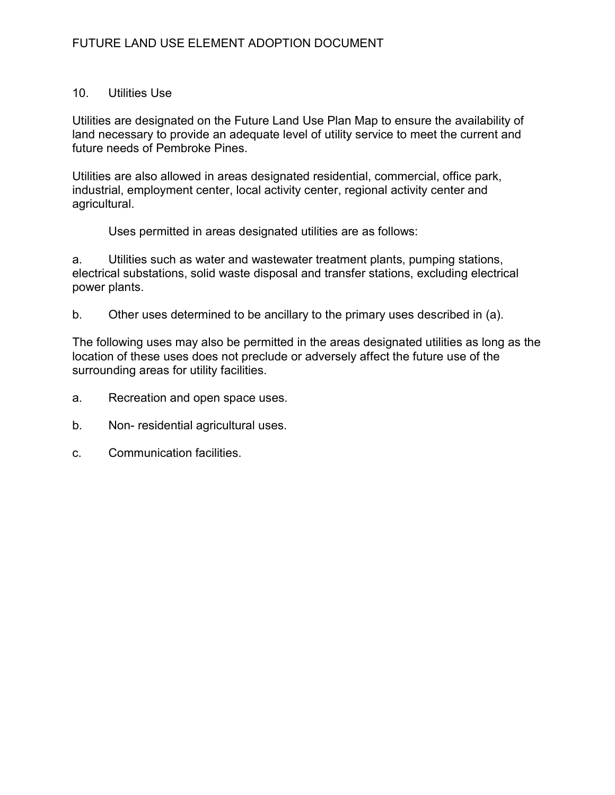### 10. Utilities Use

Utilities are designated on the Future Land Use Plan Map to ensure the availability of land necessary to provide an adequate level of utility service to meet the current and future needs of Pembroke Pines.

Utilities are also allowed in areas designated residential, commercial, office park, industrial, employment center, local activity center, regional activity center and agricultural.

Uses permitted in areas designated utilities are as follows:

a. Utilities such as water and wastewater treatment plants, pumping stations, electrical substations, solid waste disposal and transfer stations, excluding electrical power plants.

b. Other uses determined to be ancillary to the primary uses described in (a).

The following uses may also be permitted in the areas designated utilities as long as the location of these uses does not preclude or adversely affect the future use of the surrounding areas for utility facilities.

- a. Recreation and open space uses.
- b. Non- residential agricultural uses.
- c. Communication facilities.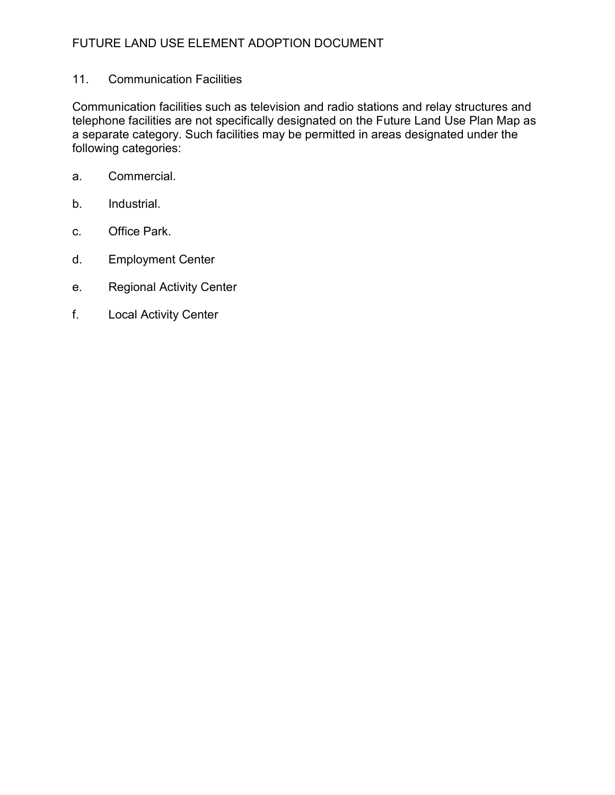### 11. Communication Facilities

Communication facilities such as television and radio stations and relay structures and telephone facilities are not specifically designated on the Future Land Use Plan Map as a separate category. Such facilities may be permitted in areas designated under the following categories:

- a. Commercial.
- b. Industrial.
- c. Office Park.
- d. Employment Center
- e. Regional Activity Center
- f. Local Activity Center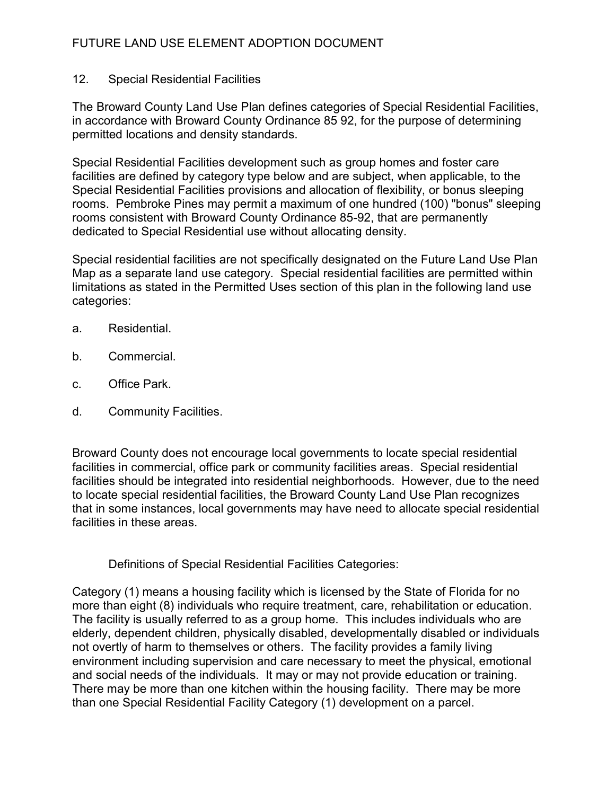### 12. Special Residential Facilities

The Broward County Land Use Plan defines categories of Special Residential Facilities, in accordance with Broward County Ordinance 85 92, for the purpose of determining permitted locations and density standards.

Special Residential Facilities development such as group homes and foster care facilities are defined by category type below and are subject, when applicable, to the Special Residential Facilities provisions and allocation of flexibility, or bonus sleeping rooms. Pembroke Pines may permit a maximum of one hundred (100) "bonus" sleeping rooms consistent with Broward County Ordinance 85-92, that are permanently dedicated to Special Residential use without allocating density.

Special residential facilities are not specifically designated on the Future Land Use Plan Map as a separate land use category. Special residential facilities are permitted within limitations as stated in the Permitted Uses section of this plan in the following land use categories:

- a. Residential.
- b. Commercial.
- c. Office Park.
- d. Community Facilities.

Broward County does not encourage local governments to locate special residential facilities in commercial, office park or community facilities areas. Special residential facilities should be integrated into residential neighborhoods. However, due to the need to locate special residential facilities, the Broward County Land Use Plan recognizes that in some instances, local governments may have need to allocate special residential facilities in these areas.

Definitions of Special Residential Facilities Categories:

Category (1) means a housing facility which is licensed by the State of Florida for no more than eight (8) individuals who require treatment, care, rehabilitation or education. The facility is usually referred to as a group home. This includes individuals who are elderly, dependent children, physically disabled, developmentally disabled or individuals not overtly of harm to themselves or others. The facility provides a family living environment including supervision and care necessary to meet the physical, emotional and social needs of the individuals. It may or may not provide education or training. There may be more than one kitchen within the housing facility. There may be more than one Special Residential Facility Category (1) development on a parcel.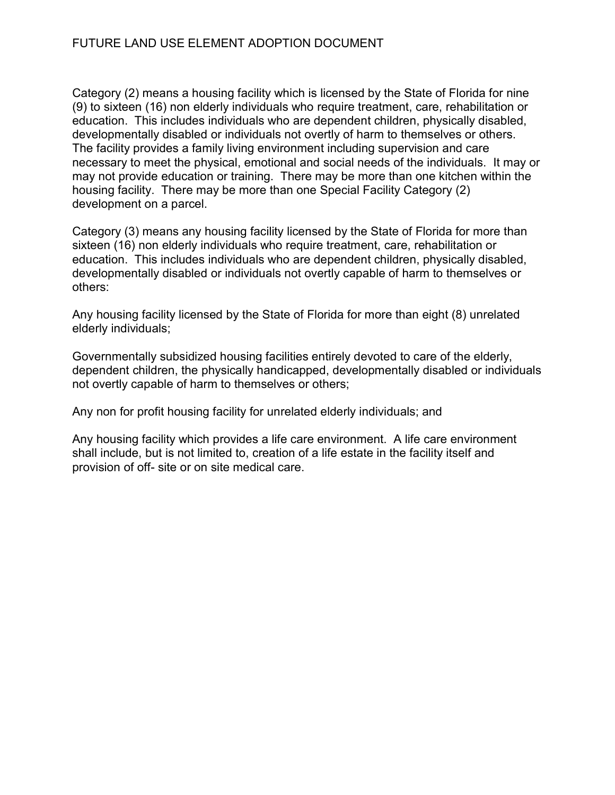Category (2) means a housing facility which is licensed by the State of Florida for nine (9) to sixteen (16) non elderly individuals who require treatment, care, rehabilitation or education. This includes individuals who are dependent children, physically disabled, developmentally disabled or individuals not overtly of harm to themselves or others. The facility provides a family living environment including supervision and care necessary to meet the physical, emotional and social needs of the individuals. It may or may not provide education or training. There may be more than one kitchen within the housing facility. There may be more than one Special Facility Category (2) development on a parcel.

Category (3) means any housing facility licensed by the State of Florida for more than sixteen (16) non elderly individuals who require treatment, care, rehabilitation or education. This includes individuals who are dependent children, physically disabled, developmentally disabled or individuals not overtly capable of harm to themselves or others:

Any housing facility licensed by the State of Florida for more than eight (8) unrelated elderly individuals;

Governmentally subsidized housing facilities entirely devoted to care of the elderly, dependent children, the physically handicapped, developmentally disabled or individuals not overtly capable of harm to themselves or others;

Any non for profit housing facility for unrelated elderly individuals; and

Any housing facility which provides a life care environment. A life care environment shall include, but is not limited to, creation of a life estate in the facility itself and provision of off- site or on site medical care.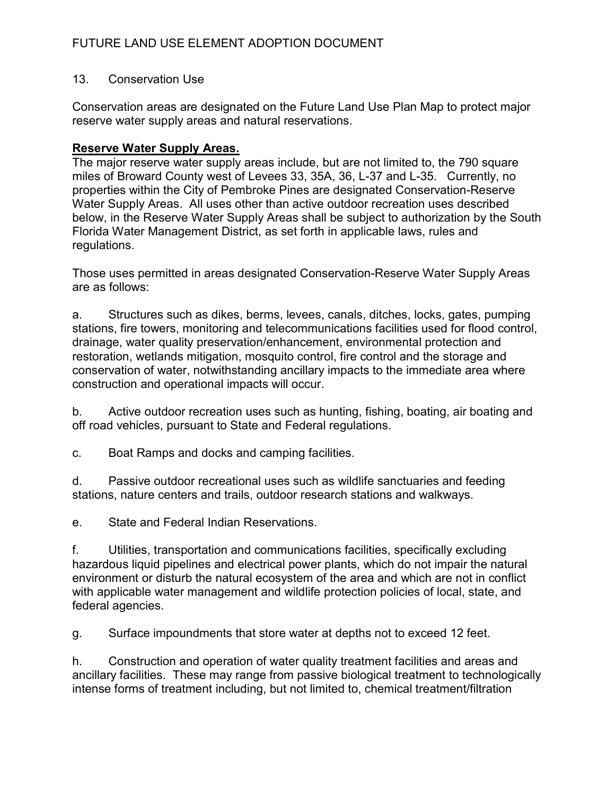### 13. Conservation Use

Conservation areas are designated on the Future Land Use Plan Map to protect major reserve water supply areas and natural reservations.

#### Reserve Water Supply Areas.

The major reserve water supply areas include, but are not limited to, the 790 square miles of Broward County west of Levees 33, 35A, 36, L-37 and L-35. Currently, no properties within the City of Pembroke Pines are designated Conservation-Reserve Water Supply Areas. All uses other than active outdoor recreation uses described below, in the Reserve Water Supply Areas shall be subject to authorization by the South Florida Water Management District, as set forth in applicable laws, rules and regulations.

Those uses permitted in areas designated Conservation-Reserve Water Supply Areas are as follows:

a. Structures such as dikes, berms, levees, canals, ditches, locks, gates, pumping stations, fire towers, monitoring and telecommunications facilities used for flood control, drainage, water quality preservation/enhancement, environmental protection and restoration, wetlands mitigation, mosquito control, fire control and the storage and conservation of water, notwithstanding ancillary impacts to the immediate area where construction and operational impacts will occur.

b. Active outdoor recreation uses such as hunting, fishing, boating, air boating and off road vehicles, pursuant to State and Federal regulations.

c. Boat Ramps and docks and camping facilities.

d. Passive outdoor recreational uses such as wildlife sanctuaries and feeding stations, nature centers and trails, outdoor research stations and walkways.

e. State and Federal Indian Reservations.

f. Utilities, transportation and communications facilities, specifically excluding hazardous liquid pipelines and electrical power plants, which do not impair the natural environment or disturb the natural ecosystem of the area and which are not in conflict with applicable water management and wildlife protection policies of local, state, and federal agencies.

g. Surface impoundments that store water at depths not to exceed 12 feet.

h. Construction and operation of water quality treatment facilities and areas and ancillary facilities. These may range from passive biological treatment to technologically intense forms of treatment including, but not limited to, chemical treatment/filtration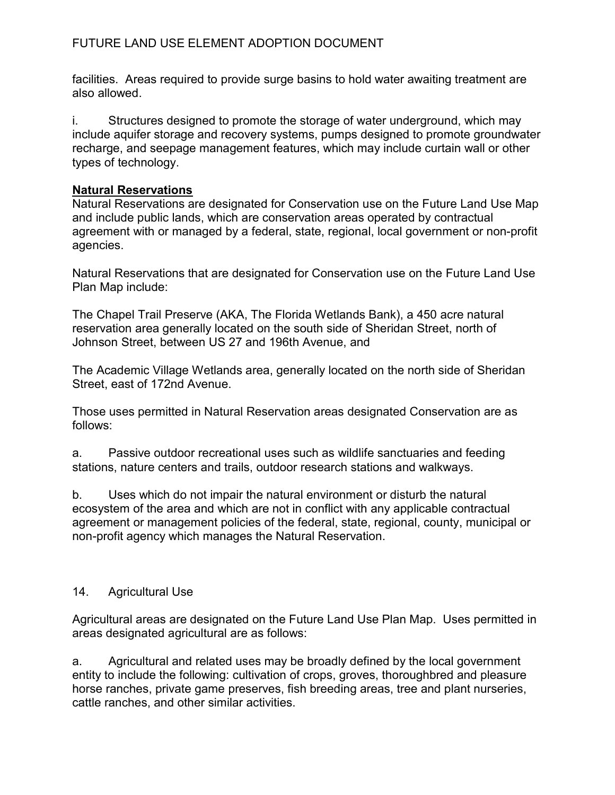facilities. Areas required to provide surge basins to hold water awaiting treatment are also allowed.

i. Structures designed to promote the storage of water underground, which may include aquifer storage and recovery systems, pumps designed to promote groundwater recharge, and seepage management features, which may include curtain wall or other types of technology.

### Natural Reservations

Natural Reservations are designated for Conservation use on the Future Land Use Map and include public lands, which are conservation areas operated by contractual agreement with or managed by a federal, state, regional, local government or non-profit agencies.

Natural Reservations that are designated for Conservation use on the Future Land Use Plan Map include:

The Chapel Trail Preserve (AKA, The Florida Wetlands Bank), a 450 acre natural reservation area generally located on the south side of Sheridan Street, north of Johnson Street, between US 27 and 196th Avenue, and

The Academic Village Wetlands area, generally located on the north side of Sheridan Street, east of 172nd Avenue.

Those uses permitted in Natural Reservation areas designated Conservation are as follows:

a. Passive outdoor recreational uses such as wildlife sanctuaries and feeding stations, nature centers and trails, outdoor research stations and walkways.

b. Uses which do not impair the natural environment or disturb the natural ecosystem of the area and which are not in conflict with any applicable contractual agreement or management policies of the federal, state, regional, county, municipal or non-profit agency which manages the Natural Reservation.

### 14. Agricultural Use

Agricultural areas are designated on the Future Land Use Plan Map. Uses permitted in areas designated agricultural are as follows:

a. Agricultural and related uses may be broadly defined by the local government entity to include the following: cultivation of crops, groves, thoroughbred and pleasure horse ranches, private game preserves, fish breeding areas, tree and plant nurseries, cattle ranches, and other similar activities.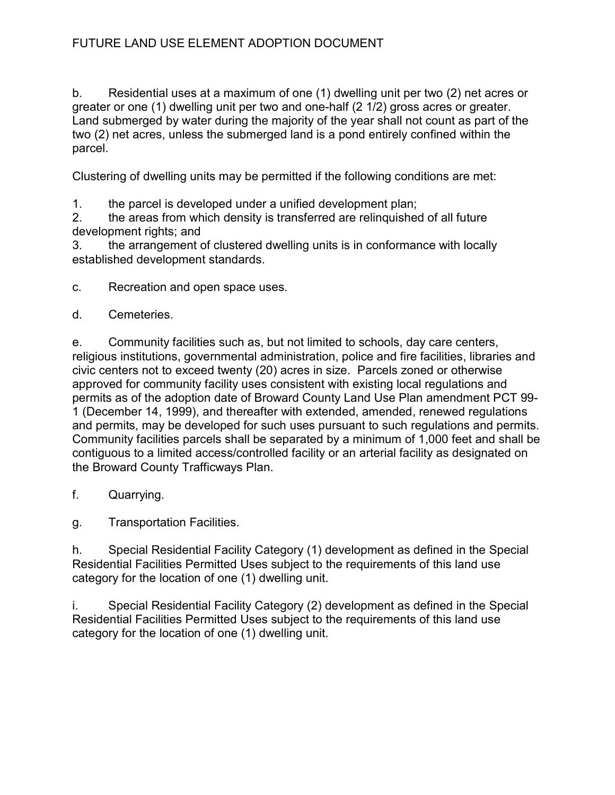b. Residential uses at a maximum of one (1) dwelling unit per two (2) net acres or greater or one (1) dwelling unit per two and one-half (2 1/2) gross acres or greater. Land submerged by water during the majority of the year shall not count as part of the two (2) net acres, unless the submerged land is a pond entirely confined within the parcel.

Clustering of dwelling units may be permitted if the following conditions are met:

1. the parcel is developed under a unified development plan;

2. the areas from which density is transferred are relinquished of all future development rights; and

3. the arrangement of clustered dwelling units is in conformance with locally established development standards.

c. Recreation and open space uses.

d. Cemeteries.

e. Community facilities such as, but not limited to schools, day care centers, religious institutions, governmental administration, police and fire facilities, libraries and civic centers not to exceed twenty (20) acres in size. Parcels zoned or otherwise approved for community facility uses consistent with existing local regulations and permits as of the adoption date of Broward County Land Use Plan amendment PCT 99- 1 (December 14, 1999), and thereafter with extended, amended, renewed regulations and permits, may be developed for such uses pursuant to such regulations and permits. Community facilities parcels shall be separated by a minimum of 1,000 feet and shall be contiguous to a limited access/controlled facility or an arterial facility as designated on the Broward County Trafficways Plan.

f. Quarrying.

g. Transportation Facilities.

h. Special Residential Facility Category (1) development as defined in the Special Residential Facilities Permitted Uses subject to the requirements of this land use category for the location of one (1) dwelling unit.

i. Special Residential Facility Category (2) development as defined in the Special Residential Facilities Permitted Uses subject to the requirements of this land use category for the location of one (1) dwelling unit.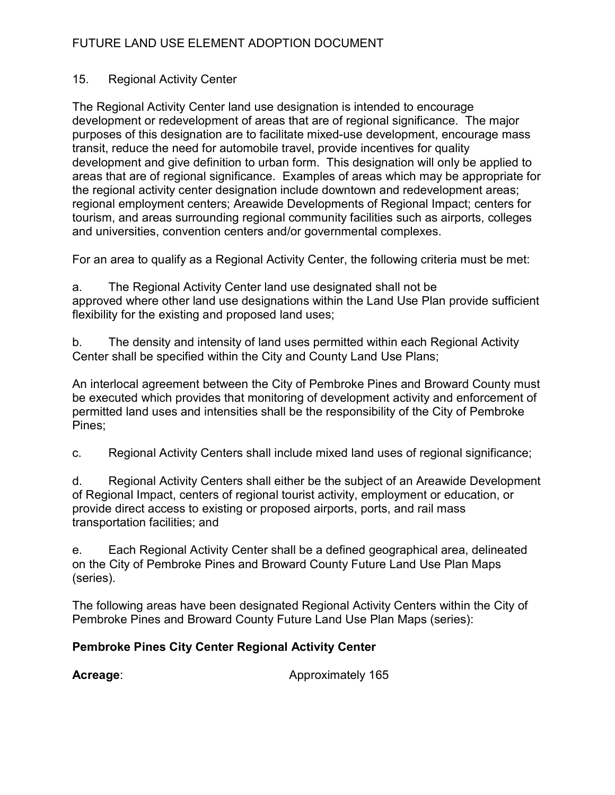### 15. Regional Activity Center

The Regional Activity Center land use designation is intended to encourage development or redevelopment of areas that are of regional significance. The major purposes of this designation are to facilitate mixed-use development, encourage mass transit, reduce the need for automobile travel, provide incentives for quality development and give definition to urban form. This designation will only be applied to areas that are of regional significance. Examples of areas which may be appropriate for the regional activity center designation include downtown and redevelopment areas; regional employment centers; Areawide Developments of Regional Impact; centers for tourism, and areas surrounding regional community facilities such as airports, colleges and universities, convention centers and/or governmental complexes.

For an area to qualify as a Regional Activity Center, the following criteria must be met:

a. The Regional Activity Center land use designated shall not be approved where other land use designations within the Land Use Plan provide sufficient flexibility for the existing and proposed land uses;

b. The density and intensity of land uses permitted within each Regional Activity Center shall be specified within the City and County Land Use Plans;

An interlocal agreement between the City of Pembroke Pines and Broward County must be executed which provides that monitoring of development activity and enforcement of permitted land uses and intensities shall be the responsibility of the City of Pembroke Pines;

c. Regional Activity Centers shall include mixed land uses of regional significance;

d. Regional Activity Centers shall either be the subject of an Areawide Development of Regional Impact, centers of regional tourist activity, employment or education, or provide direct access to existing or proposed airports, ports, and rail mass transportation facilities; and

e. Each Regional Activity Center shall be a defined geographical area, delineated on the City of Pembroke Pines and Broward County Future Land Use Plan Maps (series).

The following areas have been designated Regional Activity Centers within the City of Pembroke Pines and Broward County Future Land Use Plan Maps (series):

## Pembroke Pines City Center Regional Activity Center

Acreage: Approximately 165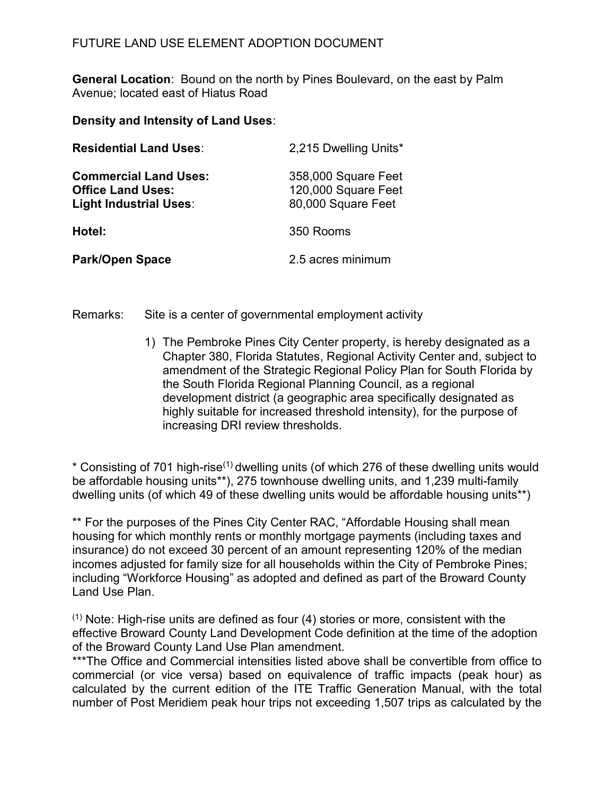General Location: Bound on the north by Pines Boulevard, on the east by Palm Avenue; located east of Hiatus Road

Density and Intensity of Land Uses:

| <b>Residential Land Uses:</b>                                                      | 2,215 Dwelling Units*                                            |
|------------------------------------------------------------------------------------|------------------------------------------------------------------|
| <b>Commercial Land Uses:</b><br><b>Office Land Uses:</b><br>Light Industrial Uses: | 358,000 Square Feet<br>120,000 Square Feet<br>80,000 Square Feet |
| Hotel:                                                                             | 350 Rooms                                                        |
| <b>Park/Open Space</b>                                                             | 2.5 acres minimum                                                |

Remarks: Site is a center of governmental employment activity

1) The Pembroke Pines City Center property, is hereby designated as a Chapter 380, Florida Statutes, Regional Activity Center and, subject to amendment of the Strategic Regional Policy Plan for South Florida by the South Florida Regional Planning Council, as a regional development district (a geographic area specifically designated as highly suitable for increased threshold intensity), for the purpose of increasing DRI review thresholds.

\* Consisting of 701 high-rise(1) dwelling units (of which 276 of these dwelling units would be affordable housing units\*\*), 275 townhouse dwelling units, and 1,239 multi-family dwelling units (of which 49 of these dwelling units would be affordable housing units\*\*)

\*\* For the purposes of the Pines City Center RAC, "Affordable Housing shall mean housing for which monthly rents or monthly mortgage payments (including taxes and insurance) do not exceed 30 percent of an amount representing 120% of the median incomes adjusted for family size for all households within the City of Pembroke Pines; including "Workforce Housing" as adopted and defined as part of the Broward County Land Use Plan.

 $(1)$  Note: High-rise units are defined as four (4) stories or more, consistent with the effective Broward County Land Development Code definition at the time of the adoption of the Broward County Land Use Plan amendment.

\*\*\*The Office and Commercial intensities listed above shall be convertible from office to commercial (or vice versa) based on equivalence of traffic impacts (peak hour) as calculated by the current edition of the ITE Traffic Generation Manual, with the total number of Post Meridiem peak hour trips not exceeding 1,507 trips as calculated by the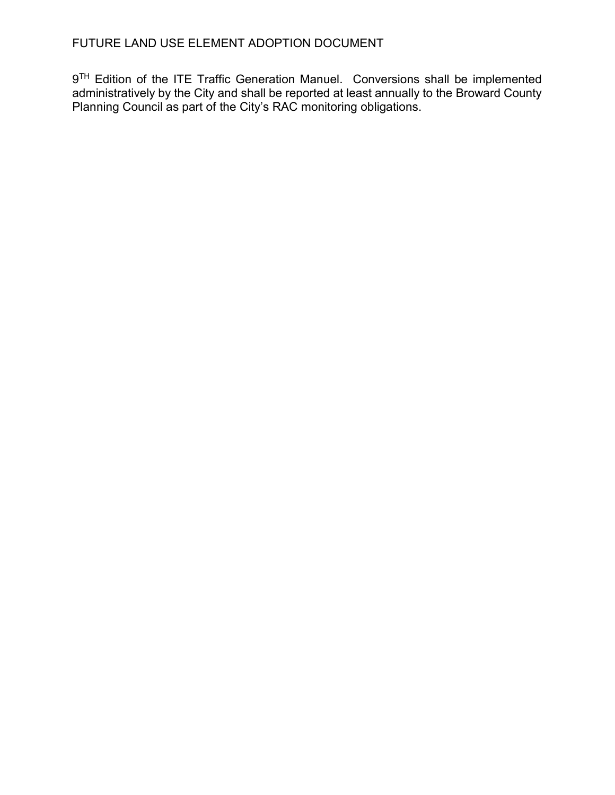9<sup>TH</sup> Edition of the ITE Traffic Generation Manuel. Conversions shall be implemented administratively by the City and shall be reported at least annually to the Broward County Planning Council as part of the City's RAC monitoring obligations.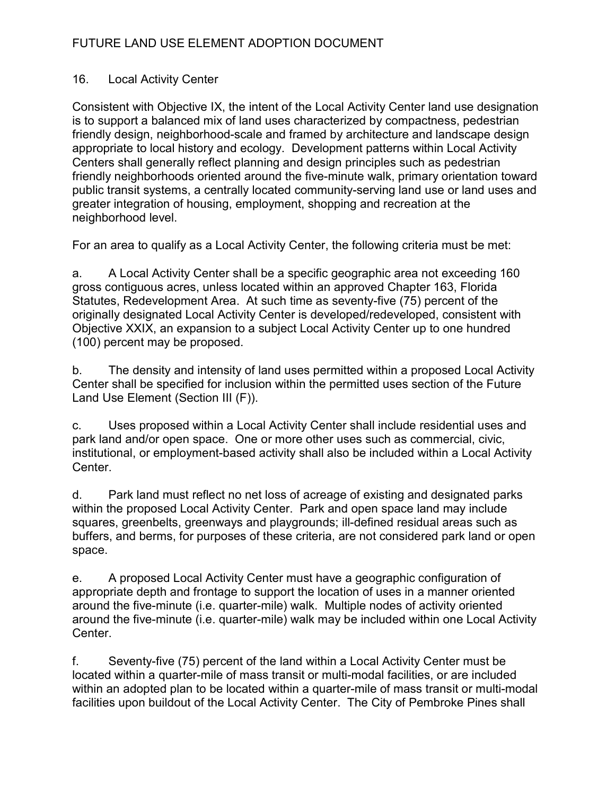### 16. Local Activity Center

Consistent with Objective IX, the intent of the Local Activity Center land use designation is to support a balanced mix of land uses characterized by compactness, pedestrian friendly design, neighborhood-scale and framed by architecture and landscape design appropriate to local history and ecology. Development patterns within Local Activity Centers shall generally reflect planning and design principles such as pedestrian friendly neighborhoods oriented around the five-minute walk, primary orientation toward public transit systems, a centrally located community-serving land use or land uses and greater integration of housing, employment, shopping and recreation at the neighborhood level.

For an area to qualify as a Local Activity Center, the following criteria must be met:

a. A Local Activity Center shall be a specific geographic area not exceeding 160 gross contiguous acres, unless located within an approved Chapter 163, Florida Statutes, Redevelopment Area. At such time as seventy-five (75) percent of the originally designated Local Activity Center is developed/redeveloped, consistent with Objective XXIX, an expansion to a subject Local Activity Center up to one hundred (100) percent may be proposed.

b. The density and intensity of land uses permitted within a proposed Local Activity Center shall be specified for inclusion within the permitted uses section of the Future Land Use Element (Section III (F)).

c. Uses proposed within a Local Activity Center shall include residential uses and park land and/or open space. One or more other uses such as commercial, civic, institutional, or employment-based activity shall also be included within a Local Activity Center.

d. Park land must reflect no net loss of acreage of existing and designated parks within the proposed Local Activity Center. Park and open space land may include squares, greenbelts, greenways and playgrounds; ill-defined residual areas such as buffers, and berms, for purposes of these criteria, are not considered park land or open space.

e. A proposed Local Activity Center must have a geographic configuration of appropriate depth and frontage to support the location of uses in a manner oriented around the five-minute (i.e. quarter-mile) walk. Multiple nodes of activity oriented around the five-minute (i.e. quarter-mile) walk may be included within one Local Activity Center.

f. Seventy-five (75) percent of the land within a Local Activity Center must be located within a quarter-mile of mass transit or multi-modal facilities, or are included within an adopted plan to be located within a quarter-mile of mass transit or multi-modal facilities upon buildout of the Local Activity Center. The City of Pembroke Pines shall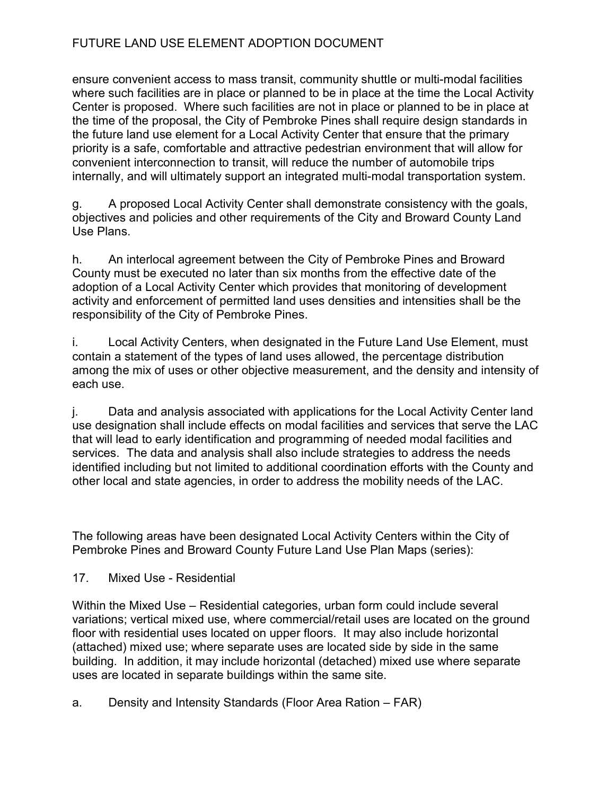ensure convenient access to mass transit, community shuttle or multi-modal facilities where such facilities are in place or planned to be in place at the time the Local Activity Center is proposed. Where such facilities are not in place or planned to be in place at the time of the proposal, the City of Pembroke Pines shall require design standards in the future land use element for a Local Activity Center that ensure that the primary priority is a safe, comfortable and attractive pedestrian environment that will allow for convenient interconnection to transit, will reduce the number of automobile trips internally, and will ultimately support an integrated multi-modal transportation system.

g. A proposed Local Activity Center shall demonstrate consistency with the goals, objectives and policies and other requirements of the City and Broward County Land Use Plans.

h. An interlocal agreement between the City of Pembroke Pines and Broward County must be executed no later than six months from the effective date of the adoption of a Local Activity Center which provides that monitoring of development activity and enforcement of permitted land uses densities and intensities shall be the responsibility of the City of Pembroke Pines.

i. Local Activity Centers, when designated in the Future Land Use Element, must contain a statement of the types of land uses allowed, the percentage distribution among the mix of uses or other objective measurement, and the density and intensity of each use.

j. Data and analysis associated with applications for the Local Activity Center land use designation shall include effects on modal facilities and services that serve the LAC that will lead to early identification and programming of needed modal facilities and services. The data and analysis shall also include strategies to address the needs identified including but not limited to additional coordination efforts with the County and other local and state agencies, in order to address the mobility needs of the LAC.

The following areas have been designated Local Activity Centers within the City of Pembroke Pines and Broward County Future Land Use Plan Maps (series):

17. Mixed Use - Residential

Within the Mixed Use – Residential categories, urban form could include several variations; vertical mixed use, where commercial/retail uses are located on the ground floor with residential uses located on upper floors. It may also include horizontal (attached) mixed use; where separate uses are located side by side in the same building. In addition, it may include horizontal (detached) mixed use where separate uses are located in separate buildings within the same site.

a. Density and Intensity Standards (Floor Area Ration – FAR)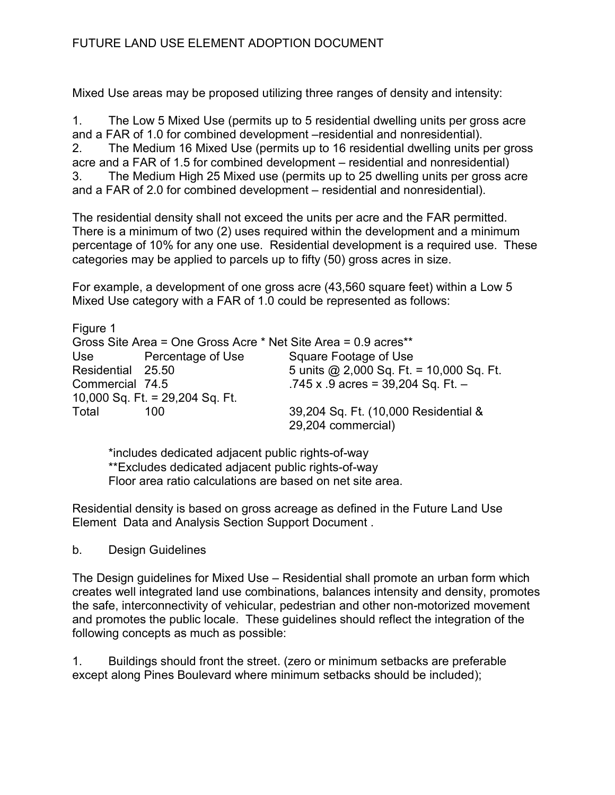Mixed Use areas may be proposed utilizing three ranges of density and intensity:

1. The Low 5 Mixed Use (permits up to 5 residential dwelling units per gross acre and a FAR of 1.0 for combined development –residential and nonresidential). 2. The Medium 16 Mixed Use (permits up to 16 residential dwelling units per gross acre and a FAR of 1.5 for combined development – residential and nonresidential) 3. The Medium High 25 Mixed use (permits up to 25 dwelling units per gross acre and a FAR of 2.0 for combined development – residential and nonresidential).

The residential density shall not exceed the units per acre and the FAR permitted. There is a minimum of two (2) uses required within the development and a minimum percentage of 10% for any one use. Residential development is a required use. These categories may be applied to parcels up to fifty (50) gross acres in size.

For example, a development of one gross acre (43,560 square feet) within a Low 5 Mixed Use category with a FAR of 1.0 could be represented as follows:

| Figure 1          |                                                                |                                          |
|-------------------|----------------------------------------------------------------|------------------------------------------|
|                   | Gross Site Area = One Gross Acre * Net Site Area = 0.9 acres** |                                          |
| Use               | Percentage of Use                                              | Square Footage of Use                    |
| Residential 25.50 |                                                                | 5 units @ 2,000 Sq. Ft. = 10,000 Sq. Ft. |
| Commercial 74.5   |                                                                | .745 x .9 acres = $39,204$ Sq. Ft. -     |
|                   | 10,000 Sq. Ft. = 29,204 Sq. Ft.                                |                                          |
| Total             | 100                                                            | 39,204 Sq. Ft. (10,000 Residential &     |
|                   |                                                                | 29,204 commercial)                       |

 \*includes dedicated adjacent public rights-of-way \*\*Excludes dedicated adjacent public rights-of-way Floor area ratio calculations are based on net site area.

Residential density is based on gross acreage as defined in the Future Land Use Element Data and Analysis Section Support Document .

b. Design Guidelines

The Design guidelines for Mixed Use – Residential shall promote an urban form which creates well integrated land use combinations, balances intensity and density, promotes the safe, interconnectivity of vehicular, pedestrian and other non-motorized movement and promotes the public locale. These guidelines should reflect the integration of the following concepts as much as possible:

1. Buildings should front the street. (zero or minimum setbacks are preferable except along Pines Boulevard where minimum setbacks should be included);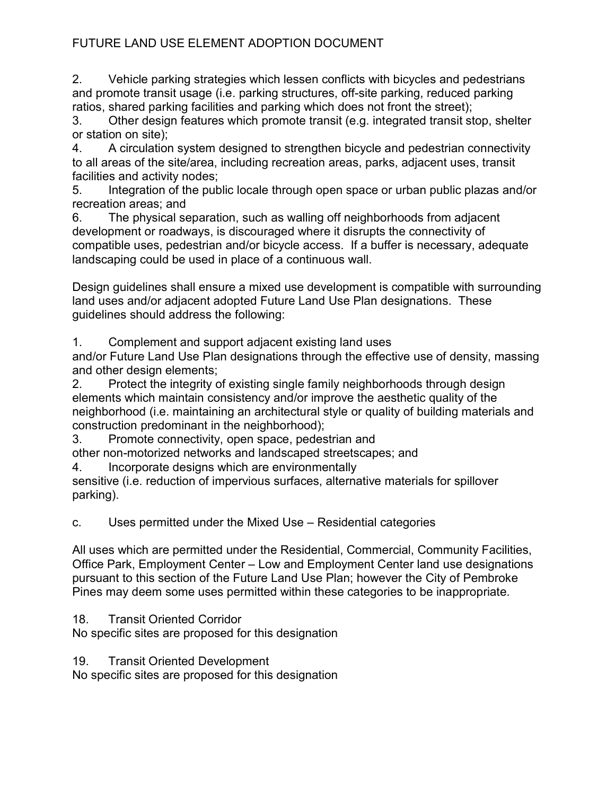2. Vehicle parking strategies which lessen conflicts with bicycles and pedestrians and promote transit usage (i.e. parking structures, off-site parking, reduced parking ratios, shared parking facilities and parking which does not front the street);

3. Other design features which promote transit (e.g. integrated transit stop, shelter or station on site);

4. A circulation system designed to strengthen bicycle and pedestrian connectivity to all areas of the site/area, including recreation areas, parks, adjacent uses, transit facilities and activity nodes;

5. Integration of the public locale through open space or urban public plazas and/or recreation areas; and

6. The physical separation, such as walling off neighborhoods from adjacent development or roadways, is discouraged where it disrupts the connectivity of compatible uses, pedestrian and/or bicycle access. If a buffer is necessary, adequate landscaping could be used in place of a continuous wall.

Design guidelines shall ensure a mixed use development is compatible with surrounding land uses and/or adjacent adopted Future Land Use Plan designations. These guidelines should address the following:

1. Complement and support adjacent existing land uses

and/or Future Land Use Plan designations through the effective use of density, massing and other design elements;

2. Protect the integrity of existing single family neighborhoods through design elements which maintain consistency and/or improve the aesthetic quality of the neighborhood (i.e. maintaining an architectural style or quality of building materials and construction predominant in the neighborhood);

3. Promote connectivity, open space, pedestrian and

other non-motorized networks and landscaped streetscapes; and

4. Incorporate designs which are environmentally

sensitive (i.e. reduction of impervious surfaces, alternative materials for spillover parking).

c. Uses permitted under the Mixed Use – Residential categories

All uses which are permitted under the Residential, Commercial, Community Facilities, Office Park, Employment Center – Low and Employment Center land use designations pursuant to this section of the Future Land Use Plan; however the City of Pembroke Pines may deem some uses permitted within these categories to be inappropriate.

18. Transit Oriented Corridor

No specific sites are proposed for this designation

19. Transit Oriented Development

No specific sites are proposed for this designation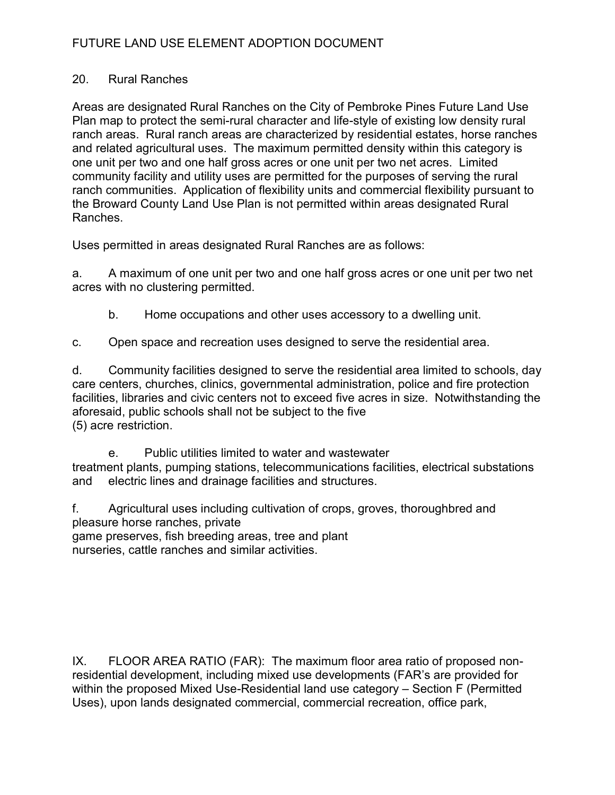### 20. Rural Ranches

Areas are designated Rural Ranches on the City of Pembroke Pines Future Land Use Plan map to protect the semi-rural character and life-style of existing low density rural ranch areas. Rural ranch areas are characterized by residential estates, horse ranches and related agricultural uses. The maximum permitted density within this category is one unit per two and one half gross acres or one unit per two net acres. Limited community facility and utility uses are permitted for the purposes of serving the rural ranch communities. Application of flexibility units and commercial flexibility pursuant to the Broward County Land Use Plan is not permitted within areas designated Rural Ranches.

Uses permitted in areas designated Rural Ranches are as follows:

a. A maximum of one unit per two and one half gross acres or one unit per two net acres with no clustering permitted.

- b. Home occupations and other uses accessory to a dwelling unit.
- c. Open space and recreation uses designed to serve the residential area.

d. Community facilities designed to serve the residential area limited to schools, day care centers, churches, clinics, governmental administration, police and fire protection facilities, libraries and civic centers not to exceed five acres in size. Notwithstanding the aforesaid, public schools shall not be subject to the five (5) acre restriction.

 e. Public utilities limited to water and wastewater treatment plants, pumping stations, telecommunications facilities, electrical substations and electric lines and drainage facilities and structures.

f. Agricultural uses including cultivation of crops, groves, thoroughbred and pleasure horse ranches, private game preserves, fish breeding areas, tree and plant nurseries, cattle ranches and similar activities.

IX. FLOOR AREA RATIO (FAR): The maximum floor area ratio of proposed nonresidential development, including mixed use developments (FAR's are provided for within the proposed Mixed Use-Residential land use category – Section F (Permitted Uses), upon lands designated commercial, commercial recreation, office park,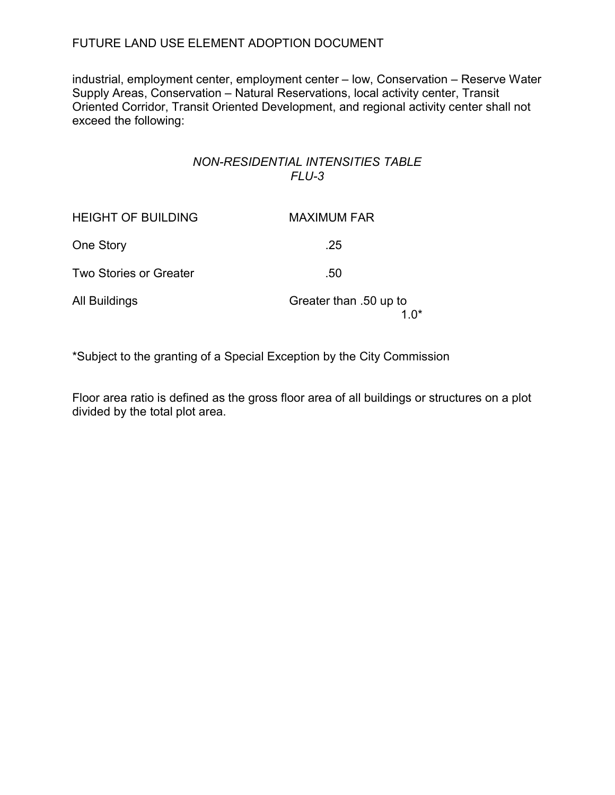industrial, employment center, employment center – low, Conservation – Reserve Water Supply Areas, Conservation – Natural Reservations, local activity center, Transit Oriented Corridor, Transit Oriented Development, and regional activity center shall not exceed the following:

### NON-RESIDENTIAL INTENSITIES TABLE FLU-3

| <b>HEIGHT OF BUILDING</b>     | <b>MAXIMUM FAR</b>               |
|-------------------------------|----------------------------------|
| One Story                     | .25                              |
| <b>Two Stories or Greater</b> | .50                              |
| All Buildings                 | Greater than .50 up to<br>1 $0*$ |

\*Subject to the granting of a Special Exception by the City Commission

Floor area ratio is defined as the gross floor area of all buildings or structures on a plot divided by the total plot area.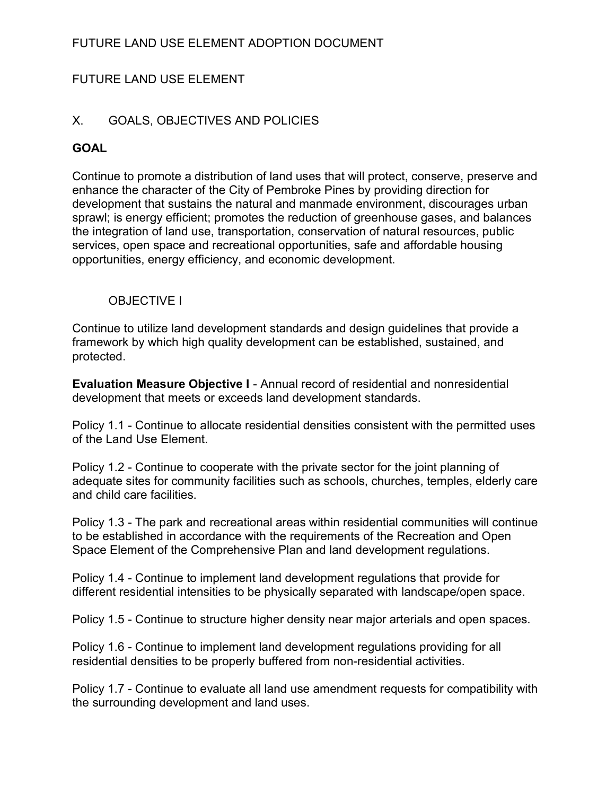# FUTURE LAND USE ELEMENT

### X. GOALS, OBJECTIVES AND POLICIES

### **GOAL**

Continue to promote a distribution of land uses that will protect, conserve, preserve and enhance the character of the City of Pembroke Pines by providing direction for development that sustains the natural and manmade environment, discourages urban sprawl; is energy efficient; promotes the reduction of greenhouse gases, and balances the integration of land use, transportation, conservation of natural resources, public services, open space and recreational opportunities, safe and affordable housing opportunities, energy efficiency, and economic development.

### OBJECTIVE I

Continue to utilize land development standards and design guidelines that provide a framework by which high quality development can be established, sustained, and protected.

Evaluation Measure Objective I - Annual record of residential and nonresidential development that meets or exceeds land development standards.

Policy 1.1 - Continue to allocate residential densities consistent with the permitted uses of the Land Use Element.

Policy 1.2 - Continue to cooperate with the private sector for the joint planning of adequate sites for community facilities such as schools, churches, temples, elderly care and child care facilities.

Policy 1.3 - The park and recreational areas within residential communities will continue to be established in accordance with the requirements of the Recreation and Open Space Element of the Comprehensive Plan and land development regulations.

Policy 1.4 - Continue to implement land development regulations that provide for different residential intensities to be physically separated with landscape/open space.

Policy 1.5 - Continue to structure higher density near major arterials and open spaces.

Policy 1.6 - Continue to implement land development regulations providing for all residential densities to be properly buffered from non-residential activities.

Policy 1.7 - Continue to evaluate all land use amendment requests for compatibility with the surrounding development and land uses.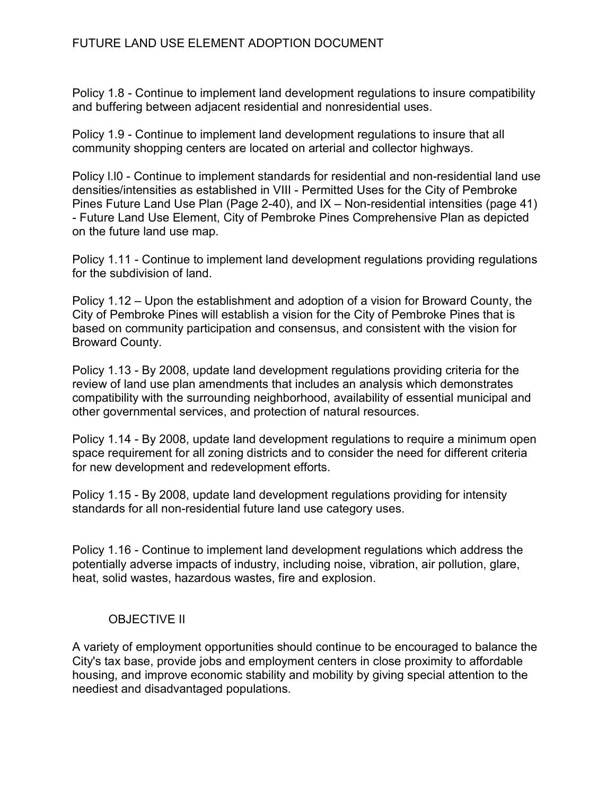Policy 1.8 - Continue to implement land development regulations to insure compatibility and buffering between adjacent residential and nonresidential uses.

Policy 1.9 - Continue to implement land development regulations to insure that all community shopping centers are located on arterial and collector highways.

Policy l.l0 - Continue to implement standards for residential and non-residential land use densities/intensities as established in VIII - Permitted Uses for the City of Pembroke Pines Future Land Use Plan (Page 2-40), and IX – Non-residential intensities (page 41) - Future Land Use Element, City of Pembroke Pines Comprehensive Plan as depicted on the future land use map.

Policy 1.11 - Continue to implement land development regulations providing regulations for the subdivision of land.

Policy 1.12 – Upon the establishment and adoption of a vision for Broward County, the City of Pembroke Pines will establish a vision for the City of Pembroke Pines that is based on community participation and consensus, and consistent with the vision for Broward County.

Policy 1.13 - By 2008, update land development regulations providing criteria for the review of land use plan amendments that includes an analysis which demonstrates compatibility with the surrounding neighborhood, availability of essential municipal and other governmental services, and protection of natural resources.

Policy 1.14 - By 2008, update land development regulations to require a minimum open space requirement for all zoning districts and to consider the need for different criteria for new development and redevelopment efforts.

Policy 1.15 - By 2008, update land development regulations providing for intensity standards for all non-residential future land use category uses.

Policy 1.16 - Continue to implement land development regulations which address the potentially adverse impacts of industry, including noise, vibration, air pollution, glare, heat, solid wastes, hazardous wastes, fire and explosion.

# OBJECTIVE II

A variety of employment opportunities should continue to be encouraged to balance the City's tax base, provide jobs and employment centers in close proximity to affordable housing, and improve economic stability and mobility by giving special attention to the neediest and disadvantaged populations.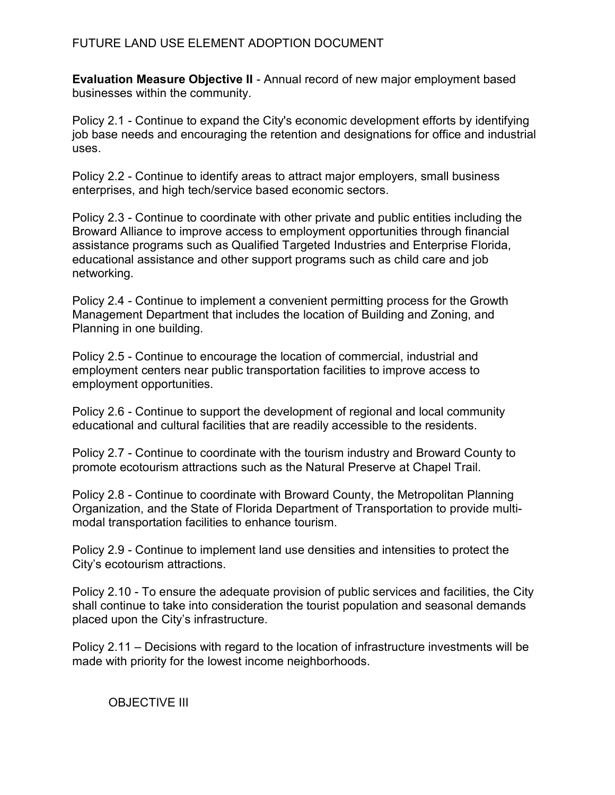Evaluation Measure Objective II - Annual record of new major employment based businesses within the community.

Policy 2.1 - Continue to expand the City's economic development efforts by identifying job base needs and encouraging the retention and designations for office and industrial uses.

Policy 2.2 - Continue to identify areas to attract major employers, small business enterprises, and high tech/service based economic sectors.

Policy 2.3 - Continue to coordinate with other private and public entities including the Broward Alliance to improve access to employment opportunities through financial assistance programs such as Qualified Targeted Industries and Enterprise Florida, educational assistance and other support programs such as child care and job networking.

Policy 2.4 - Continue to implement a convenient permitting process for the Growth Management Department that includes the location of Building and Zoning, and Planning in one building.

Policy 2.5 - Continue to encourage the location of commercial, industrial and employment centers near public transportation facilities to improve access to employment opportunities.

Policy 2.6 - Continue to support the development of regional and local community educational and cultural facilities that are readily accessible to the residents.

Policy 2.7 - Continue to coordinate with the tourism industry and Broward County to promote ecotourism attractions such as the Natural Preserve at Chapel Trail.

Policy 2.8 - Continue to coordinate with Broward County, the Metropolitan Planning Organization, and the State of Florida Department of Transportation to provide multimodal transportation facilities to enhance tourism.

Policy 2.9 - Continue to implement land use densities and intensities to protect the City's ecotourism attractions.

Policy 2.10 - To ensure the adequate provision of public services and facilities, the City shall continue to take into consideration the tourist population and seasonal demands placed upon the City's infrastructure.

Policy 2.11 – Decisions with regard to the location of infrastructure investments will be made with priority for the lowest income neighborhoods.

## OBJECTIVE III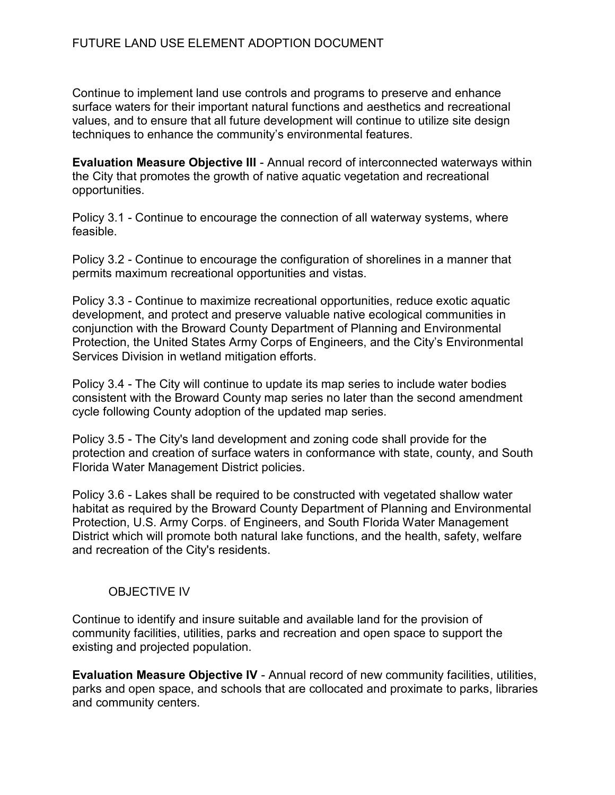Continue to implement land use controls and programs to preserve and enhance surface waters for their important natural functions and aesthetics and recreational values, and to ensure that all future development will continue to utilize site design techniques to enhance the community's environmental features.

Evaluation Measure Objective III - Annual record of interconnected waterways within the City that promotes the growth of native aquatic vegetation and recreational opportunities.

Policy 3.1 - Continue to encourage the connection of all waterway systems, where feasible.

Policy 3.2 - Continue to encourage the configuration of shorelines in a manner that permits maximum recreational opportunities and vistas.

Policy 3.3 - Continue to maximize recreational opportunities, reduce exotic aquatic development, and protect and preserve valuable native ecological communities in conjunction with the Broward County Department of Planning and Environmental Protection, the United States Army Corps of Engineers, and the City's Environmental Services Division in wetland mitigation efforts.

Policy 3.4 - The City will continue to update its map series to include water bodies consistent with the Broward County map series no later than the second amendment cycle following County adoption of the updated map series.

Policy 3.5 - The City's land development and zoning code shall provide for the protection and creation of surface waters in conformance with state, county, and South Florida Water Management District policies.

Policy 3.6 - Lakes shall be required to be constructed with vegetated shallow water habitat as required by the Broward County Department of Planning and Environmental Protection, U.S. Army Corps. of Engineers, and South Florida Water Management District which will promote both natural lake functions, and the health, safety, welfare and recreation of the City's residents.

## OBJECTIVE IV

Continue to identify and insure suitable and available land for the provision of community facilities, utilities, parks and recreation and open space to support the existing and projected population.

Evaluation Measure Objective IV - Annual record of new community facilities, utilities, parks and open space, and schools that are collocated and proximate to parks, libraries and community centers.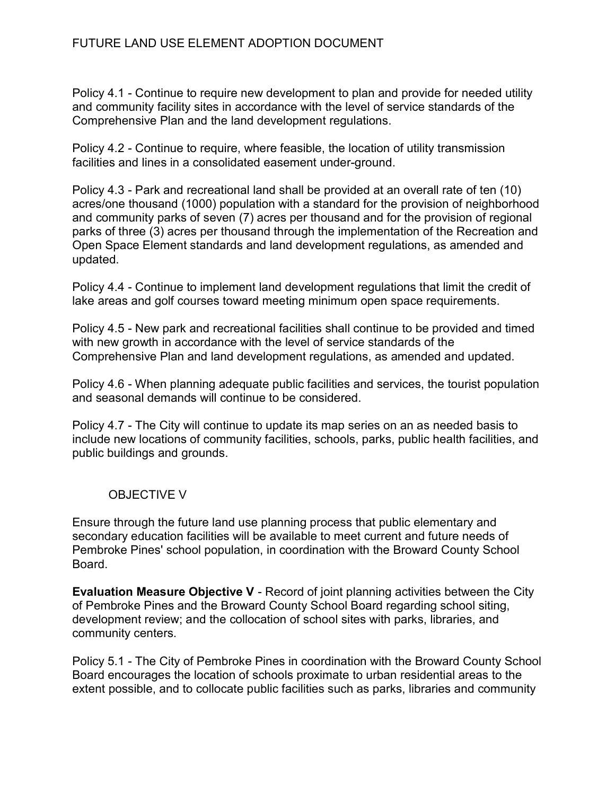Policy 4.1 - Continue to require new development to plan and provide for needed utility and community facility sites in accordance with the level of service standards of the Comprehensive Plan and the land development regulations.

Policy 4.2 - Continue to require, where feasible, the location of utility transmission facilities and lines in a consolidated easement under-ground.

Policy 4.3 - Park and recreational land shall be provided at an overall rate of ten (10) acres/one thousand (1000) population with a standard for the provision of neighborhood and community parks of seven (7) acres per thousand and for the provision of regional parks of three (3) acres per thousand through the implementation of the Recreation and Open Space Element standards and land development regulations, as amended and updated.

Policy 4.4 - Continue to implement land development regulations that limit the credit of lake areas and golf courses toward meeting minimum open space requirements.

Policy 4.5 - New park and recreational facilities shall continue to be provided and timed with new growth in accordance with the level of service standards of the Comprehensive Plan and land development regulations, as amended and updated.

Policy 4.6 - When planning adequate public facilities and services, the tourist population and seasonal demands will continue to be considered.

Policy 4.7 - The City will continue to update its map series on an as needed basis to include new locations of community facilities, schools, parks, public health facilities, and public buildings and grounds.

## OBJECTIVE V

Ensure through the future land use planning process that public elementary and secondary education facilities will be available to meet current and future needs of Pembroke Pines' school population, in coordination with the Broward County School Board.

Evaluation Measure Objective V - Record of joint planning activities between the City of Pembroke Pines and the Broward County School Board regarding school siting, development review; and the collocation of school sites with parks, libraries, and community centers.

Policy 5.1 - The City of Pembroke Pines in coordination with the Broward County School Board encourages the location of schools proximate to urban residential areas to the extent possible, and to collocate public facilities such as parks, libraries and community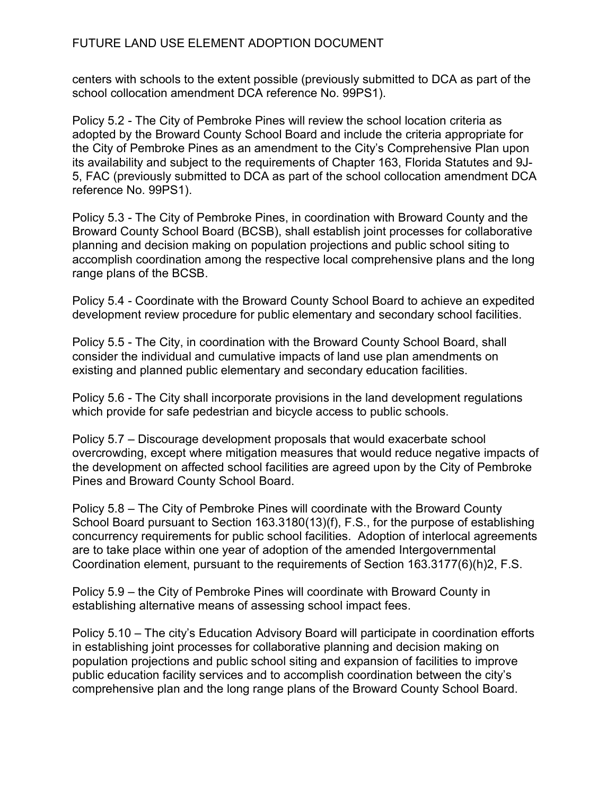centers with schools to the extent possible (previously submitted to DCA as part of the school collocation amendment DCA reference No. 99PS1).

Policy 5.2 - The City of Pembroke Pines will review the school location criteria as adopted by the Broward County School Board and include the criteria appropriate for the City of Pembroke Pines as an amendment to the City's Comprehensive Plan upon its availability and subject to the requirements of Chapter 163, Florida Statutes and 9J-5, FAC (previously submitted to DCA as part of the school collocation amendment DCA reference No. 99PS1).

Policy 5.3 - The City of Pembroke Pines, in coordination with Broward County and the Broward County School Board (BCSB), shall establish joint processes for collaborative planning and decision making on population projections and public school siting to accomplish coordination among the respective local comprehensive plans and the long range plans of the BCSB.

Policy 5.4 - Coordinate with the Broward County School Board to achieve an expedited development review procedure for public elementary and secondary school facilities.

Policy 5.5 - The City, in coordination with the Broward County School Board, shall consider the individual and cumulative impacts of land use plan amendments on existing and planned public elementary and secondary education facilities.

Policy 5.6 - The City shall incorporate provisions in the land development regulations which provide for safe pedestrian and bicycle access to public schools.

Policy 5.7 – Discourage development proposals that would exacerbate school overcrowding, except where mitigation measures that would reduce negative impacts of the development on affected school facilities are agreed upon by the City of Pembroke Pines and Broward County School Board.

Policy 5.8 – The City of Pembroke Pines will coordinate with the Broward County School Board pursuant to Section 163.3180(13)(f), F.S., for the purpose of establishing concurrency requirements for public school facilities. Adoption of interlocal agreements are to take place within one year of adoption of the amended Intergovernmental Coordination element, pursuant to the requirements of Section 163.3177(6)(h)2, F.S.

Policy 5.9 – the City of Pembroke Pines will coordinate with Broward County in establishing alternative means of assessing school impact fees.

Policy 5.10 – The city's Education Advisory Board will participate in coordination efforts in establishing joint processes for collaborative planning and decision making on population projections and public school siting and expansion of facilities to improve public education facility services and to accomplish coordination between the city's comprehensive plan and the long range plans of the Broward County School Board.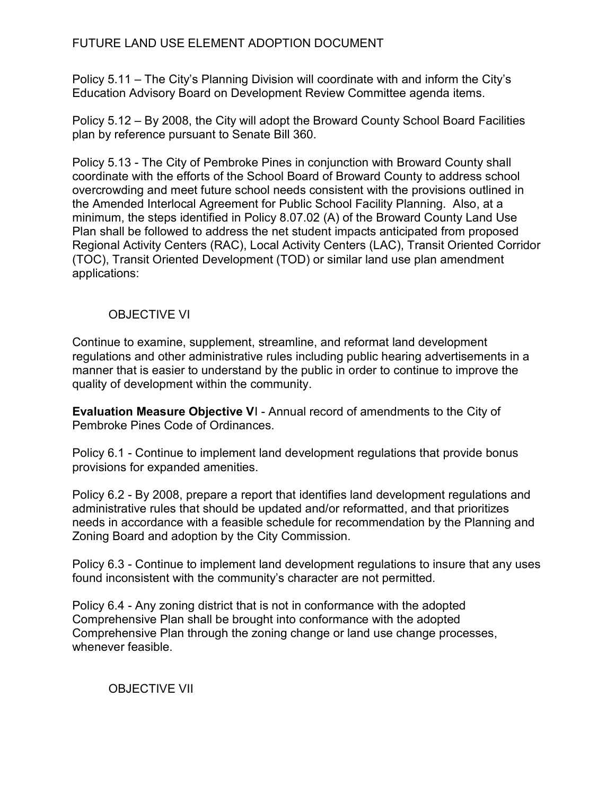Policy 5.11 – The City's Planning Division will coordinate with and inform the City's Education Advisory Board on Development Review Committee agenda items.

Policy 5.12 – By 2008, the City will adopt the Broward County School Board Facilities plan by reference pursuant to Senate Bill 360.

Policy 5.13 - The City of Pembroke Pines in conjunction with Broward County shall coordinate with the efforts of the School Board of Broward County to address school overcrowding and meet future school needs consistent with the provisions outlined in the Amended Interlocal Agreement for Public School Facility Planning. Also, at a minimum, the steps identified in Policy 8.07.02 (A) of the Broward County Land Use Plan shall be followed to address the net student impacts anticipated from proposed Regional Activity Centers (RAC), Local Activity Centers (LAC), Transit Oriented Corridor (TOC), Transit Oriented Development (TOD) or similar land use plan amendment applications:

## OBJECTIVE VI

Continue to examine, supplement, streamline, and reformat land development regulations and other administrative rules including public hearing advertisements in a manner that is easier to understand by the public in order to continue to improve the quality of development within the community.

Evaluation Measure Objective VI - Annual record of amendments to the City of Pembroke Pines Code of Ordinances.

Policy 6.1 - Continue to implement land development regulations that provide bonus provisions for expanded amenities.

Policy 6.2 - By 2008, prepare a report that identifies land development regulations and administrative rules that should be updated and/or reformatted, and that prioritizes needs in accordance with a feasible schedule for recommendation by the Planning and Zoning Board and adoption by the City Commission.

Policy 6.3 - Continue to implement land development regulations to insure that any uses found inconsistent with the community's character are not permitted.

Policy 6.4 - Any zoning district that is not in conformance with the adopted Comprehensive Plan shall be brought into conformance with the adopted Comprehensive Plan through the zoning change or land use change processes, whenever feasible.

OBJECTIVE VII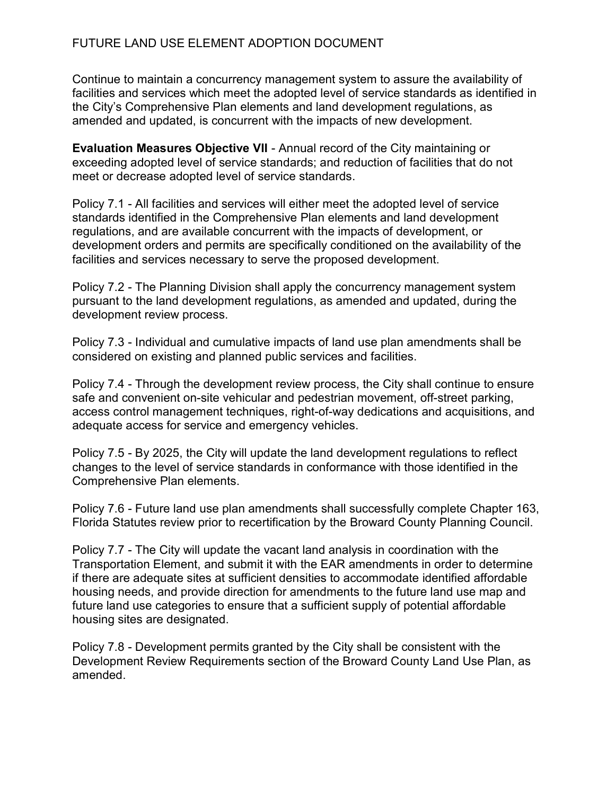Continue to maintain a concurrency management system to assure the availability of facilities and services which meet the adopted level of service standards as identified in the City's Comprehensive Plan elements and land development regulations, as amended and updated, is concurrent with the impacts of new development.

Evaluation Measures Objective VII - Annual record of the City maintaining or exceeding adopted level of service standards; and reduction of facilities that do not meet or decrease adopted level of service standards.

Policy 7.1 - All facilities and services will either meet the adopted level of service standards identified in the Comprehensive Plan elements and land development regulations, and are available concurrent with the impacts of development, or development orders and permits are specifically conditioned on the availability of the facilities and services necessary to serve the proposed development.

Policy 7.2 - The Planning Division shall apply the concurrency management system pursuant to the land development regulations, as amended and updated, during the development review process.

Policy 7.3 - Individual and cumulative impacts of land use plan amendments shall be considered on existing and planned public services and facilities.

Policy 7.4 - Through the development review process, the City shall continue to ensure safe and convenient on-site vehicular and pedestrian movement, off-street parking, access control management techniques, right-of-way dedications and acquisitions, and adequate access for service and emergency vehicles.

Policy 7.5 - By 2025, the City will update the land development regulations to reflect changes to the level of service standards in conformance with those identified in the Comprehensive Plan elements.

Policy 7.6 - Future land use plan amendments shall successfully complete Chapter 163, Florida Statutes review prior to recertification by the Broward County Planning Council.

Policy 7.7 - The City will update the vacant land analysis in coordination with the Transportation Element, and submit it with the EAR amendments in order to determine if there are adequate sites at sufficient densities to accommodate identified affordable housing needs, and provide direction for amendments to the future land use map and future land use categories to ensure that a sufficient supply of potential affordable housing sites are designated.

Policy 7.8 - Development permits granted by the City shall be consistent with the Development Review Requirements section of the Broward County Land Use Plan, as amended.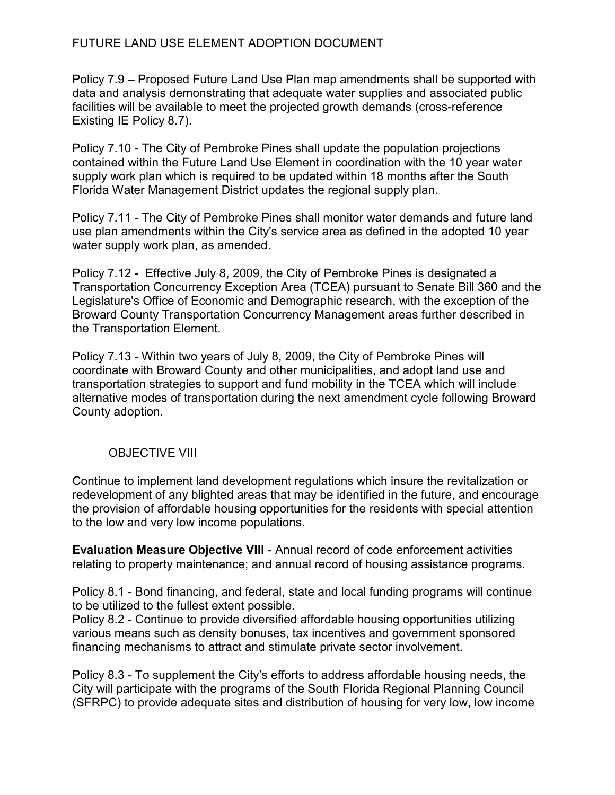Policy 7.9 – Proposed Future Land Use Plan map amendments shall be supported with data and analysis demonstrating that adequate water supplies and associated public facilities will be available to meet the projected growth demands (cross-reference Existing IE Policy 8.7).

Policy 7.10 - The City of Pembroke Pines shall update the population projections contained within the Future Land Use Element in coordination with the 10 year water supply work plan which is required to be updated within 18 months after the South Florida Water Management District updates the regional supply plan.

Policy 7.11 - The City of Pembroke Pines shall monitor water demands and future land use plan amendments within the City's service area as defined in the adopted 10 year water supply work plan, as amended.

Policy 7.12 - Effective July 8, 2009, the City of Pembroke Pines is designated a Transportation Concurrency Exception Area (TCEA) pursuant to Senate Bill 360 and the Legislature's Office of Economic and Demographic research, with the exception of the Broward County Transportation Concurrency Management areas further described in the Transportation Element.

Policy 7.13 - Within two years of July 8, 2009, the City of Pembroke Pines will coordinate with Broward County and other municipalities, and adopt land use and transportation strategies to support and fund mobility in the TCEA which will include alternative modes of transportation during the next amendment cycle following Broward County adoption.

## OBJECTIVE VIII

Continue to implement land development regulations which insure the revitalization or redevelopment of any blighted areas that may be identified in the future, and encourage the provision of affordable housing opportunities for the residents with special attention to the low and very low income populations.

Evaluation Measure Objective VIII - Annual record of code enforcement activities relating to property maintenance; and annual record of housing assistance programs.

Policy 8.1 - Bond financing, and federal, state and local funding programs will continue to be utilized to the fullest extent possible.

Policy 8.2 - Continue to provide diversified affordable housing opportunities utilizing various means such as density bonuses, tax incentives and government sponsored financing mechanisms to attract and stimulate private sector involvement.

Policy 8.3 - To supplement the City's efforts to address affordable housing needs, the City will participate with the programs of the South Florida Regional Planning Council (SFRPC) to provide adequate sites and distribution of housing for very low, low income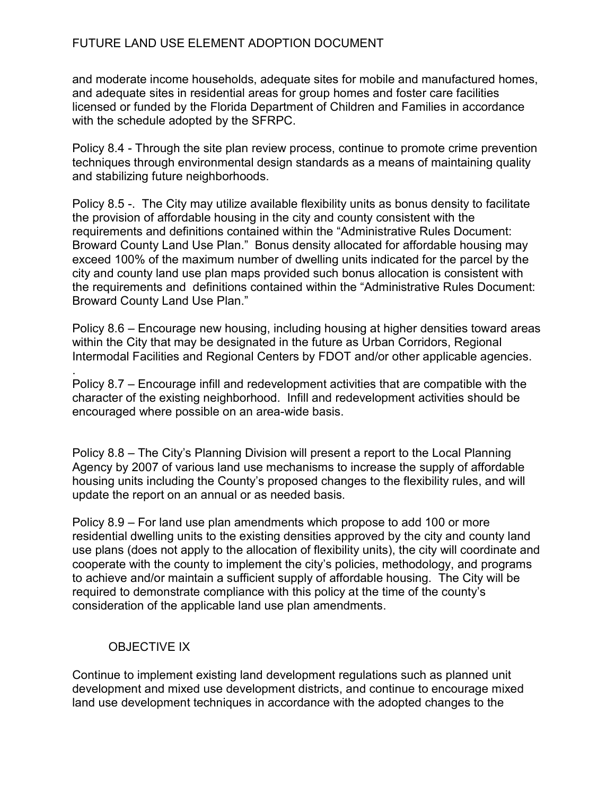and moderate income households, adequate sites for mobile and manufactured homes, and adequate sites in residential areas for group homes and foster care facilities licensed or funded by the Florida Department of Children and Families in accordance with the schedule adopted by the SFRPC.

Policy 8.4 - Through the site plan review process, continue to promote crime prevention techniques through environmental design standards as a means of maintaining quality and stabilizing future neighborhoods.

Policy 8.5 -. The City may utilize available flexibility units as bonus density to facilitate the provision of affordable housing in the city and county consistent with the requirements and definitions contained within the "Administrative Rules Document: Broward County Land Use Plan." Bonus density allocated for affordable housing may exceed 100% of the maximum number of dwelling units indicated for the parcel by the city and county land use plan maps provided such bonus allocation is consistent with the requirements and definitions contained within the "Administrative Rules Document: Broward County Land Use Plan."

Policy 8.6 – Encourage new housing, including housing at higher densities toward areas within the City that may be designated in the future as Urban Corridors, Regional Intermodal Facilities and Regional Centers by FDOT and/or other applicable agencies.

Policy 8.7 – Encourage infill and redevelopment activities that are compatible with the character of the existing neighborhood. Infill and redevelopment activities should be encouraged where possible on an area-wide basis.

Policy 8.8 – The City's Planning Division will present a report to the Local Planning Agency by 2007 of various land use mechanisms to increase the supply of affordable housing units including the County's proposed changes to the flexibility rules, and will update the report on an annual or as needed basis.

Policy 8.9 – For land use plan amendments which propose to add 100 or more residential dwelling units to the existing densities approved by the city and county land use plans (does not apply to the allocation of flexibility units), the city will coordinate and cooperate with the county to implement the city's policies, methodology, and programs to achieve and/or maintain a sufficient supply of affordable housing. The City will be required to demonstrate compliance with this policy at the time of the county's consideration of the applicable land use plan amendments.

# OBJECTIVE IX

.

Continue to implement existing land development regulations such as planned unit development and mixed use development districts, and continue to encourage mixed land use development techniques in accordance with the adopted changes to the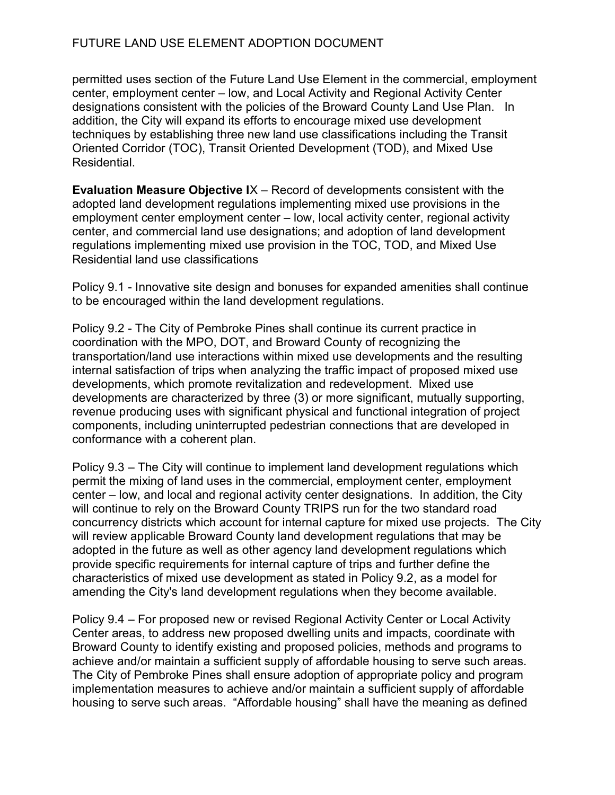permitted uses section of the Future Land Use Element in the commercial, employment center, employment center – low, and Local Activity and Regional Activity Center designations consistent with the policies of the Broward County Land Use Plan. In addition, the City will expand its efforts to encourage mixed use development techniques by establishing three new land use classifications including the Transit Oriented Corridor (TOC), Transit Oriented Development (TOD), and Mixed Use Residential.

Evaluation Measure Objective IX – Record of developments consistent with the adopted land development regulations implementing mixed use provisions in the employment center employment center – low, local activity center, regional activity center, and commercial land use designations; and adoption of land development regulations implementing mixed use provision in the TOC, TOD, and Mixed Use Residential land use classifications

Policy 9.1 - Innovative site design and bonuses for expanded amenities shall continue to be encouraged within the land development regulations.

Policy 9.2 - The City of Pembroke Pines shall continue its current practice in coordination with the MPO, DOT, and Broward County of recognizing the transportation/land use interactions within mixed use developments and the resulting internal satisfaction of trips when analyzing the traffic impact of proposed mixed use developments, which promote revitalization and redevelopment. Mixed use developments are characterized by three (3) or more significant, mutually supporting, revenue producing uses with significant physical and functional integration of project components, including uninterrupted pedestrian connections that are developed in conformance with a coherent plan.

Policy 9.3 – The City will continue to implement land development regulations which permit the mixing of land uses in the commercial, employment center, employment center – low, and local and regional activity center designations. In addition, the City will continue to rely on the Broward County TRIPS run for the two standard road concurrency districts which account for internal capture for mixed use projects. The City will review applicable Broward County land development regulations that may be adopted in the future as well as other agency land development regulations which provide specific requirements for internal capture of trips and further define the characteristics of mixed use development as stated in Policy 9.2, as a model for amending the City's land development regulations when they become available.

Policy 9.4 – For proposed new or revised Regional Activity Center or Local Activity Center areas, to address new proposed dwelling units and impacts, coordinate with Broward County to identify existing and proposed policies, methods and programs to achieve and/or maintain a sufficient supply of affordable housing to serve such areas. The City of Pembroke Pines shall ensure adoption of appropriate policy and program implementation measures to achieve and/or maintain a sufficient supply of affordable housing to serve such areas. "Affordable housing" shall have the meaning as defined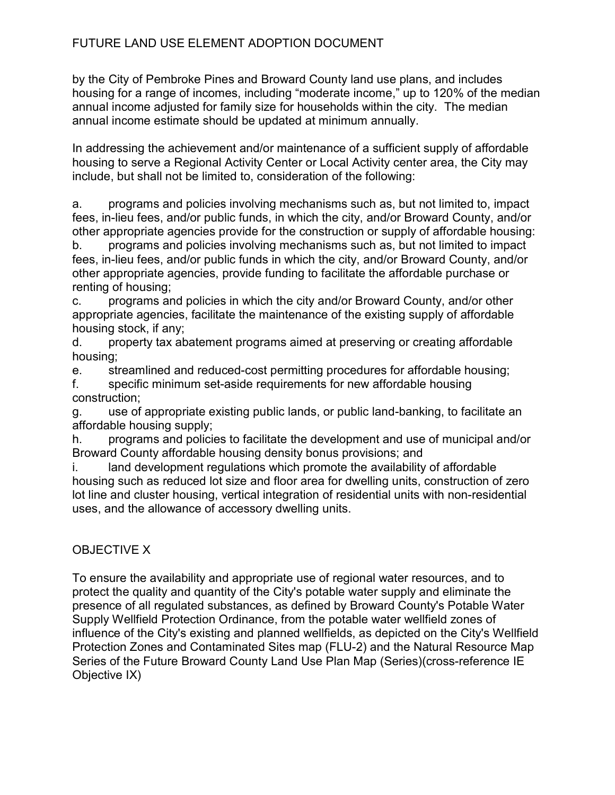by the City of Pembroke Pines and Broward County land use plans, and includes housing for a range of incomes, including "moderate income," up to 120% of the median annual income adjusted for family size for households within the city. The median annual income estimate should be updated at minimum annually.

In addressing the achievement and/or maintenance of a sufficient supply of affordable housing to serve a Regional Activity Center or Local Activity center area, the City may include, but shall not be limited to, consideration of the following:

a. programs and policies involving mechanisms such as, but not limited to, impact fees, in-lieu fees, and/or public funds, in which the city, and/or Broward County, and/or other appropriate agencies provide for the construction or supply of affordable housing:

b. programs and policies involving mechanisms such as, but not limited to impact fees, in-lieu fees, and/or public funds in which the city, and/or Broward County, and/or other appropriate agencies, provide funding to facilitate the affordable purchase or renting of housing;

c. programs and policies in which the city and/or Broward County, and/or other appropriate agencies, facilitate the maintenance of the existing supply of affordable housing stock, if any;

d. property tax abatement programs aimed at preserving or creating affordable housing;

e. streamlined and reduced-cost permitting procedures for affordable housing;

f. specific minimum set-aside requirements for new affordable housing construction;

g. use of appropriate existing public lands, or public land-banking, to facilitate an affordable housing supply;

h. programs and policies to facilitate the development and use of municipal and/or Broward County affordable housing density bonus provisions; and

i. land development regulations which promote the availability of affordable housing such as reduced lot size and floor area for dwelling units, construction of zero lot line and cluster housing, vertical integration of residential units with non-residential uses, and the allowance of accessory dwelling units.

# OBJECTIVE X

To ensure the availability and appropriate use of regional water resources, and to protect the quality and quantity of the City's potable water supply and eliminate the presence of all regulated substances, as defined by Broward County's Potable Water Supply Wellfield Protection Ordinance, from the potable water wellfield zones of influence of the City's existing and planned wellfields, as depicted on the City's Wellfield Protection Zones and Contaminated Sites map (FLU-2) and the Natural Resource Map Series of the Future Broward County Land Use Plan Map (Series)(cross-reference IE Objective IX)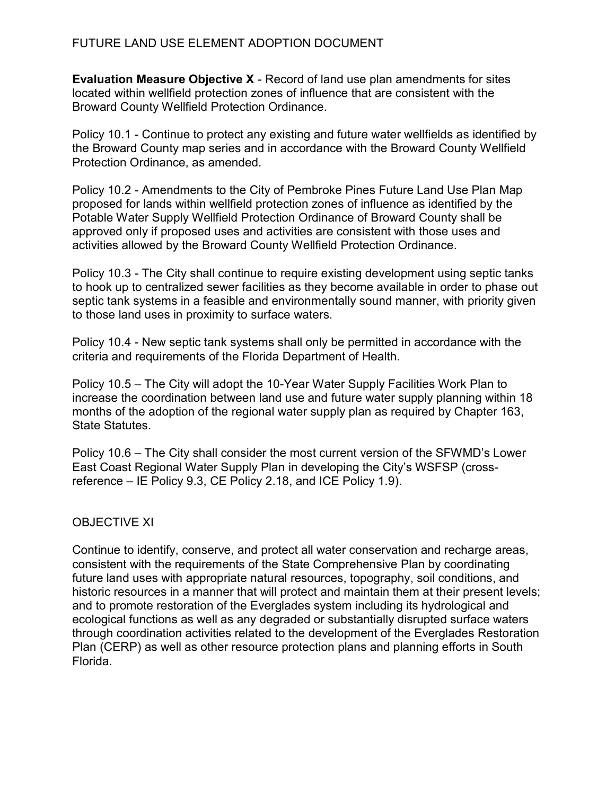Evaluation Measure Objective X - Record of land use plan amendments for sites located within wellfield protection zones of influence that are consistent with the Broward County Wellfield Protection Ordinance.

Policy 10.1 - Continue to protect any existing and future water wellfields as identified by the Broward County map series and in accordance with the Broward County Wellfield Protection Ordinance, as amended.

Policy 10.2 - Amendments to the City of Pembroke Pines Future Land Use Plan Map proposed for lands within wellfield protection zones of influence as identified by the Potable Water Supply Wellfield Protection Ordinance of Broward County shall be approved only if proposed uses and activities are consistent with those uses and activities allowed by the Broward County Wellfield Protection Ordinance.

Policy 10.3 - The City shall continue to require existing development using septic tanks to hook up to centralized sewer facilities as they become available in order to phase out septic tank systems in a feasible and environmentally sound manner, with priority given to those land uses in proximity to surface waters.

Policy 10.4 - New septic tank systems shall only be permitted in accordance with the criteria and requirements of the Florida Department of Health.

Policy 10.5 – The City will adopt the 10-Year Water Supply Facilities Work Plan to increase the coordination between land use and future water supply planning within 18 months of the adoption of the regional water supply plan as required by Chapter 163, State Statutes.

Policy 10.6 – The City shall consider the most current version of the SFWMD's Lower East Coast Regional Water Supply Plan in developing the City's WSFSP (crossreference – IE Policy 9.3, CE Policy 2.18, and ICE Policy 1.9).

## OBJECTIVE XI

Continue to identify, conserve, and protect all water conservation and recharge areas, consistent with the requirements of the State Comprehensive Plan by coordinating future land uses with appropriate natural resources, topography, soil conditions, and historic resources in a manner that will protect and maintain them at their present levels; and to promote restoration of the Everglades system including its hydrological and ecological functions as well as any degraded or substantially disrupted surface waters through coordination activities related to the development of the Everglades Restoration Plan (CERP) as well as other resource protection plans and planning efforts in South Florida.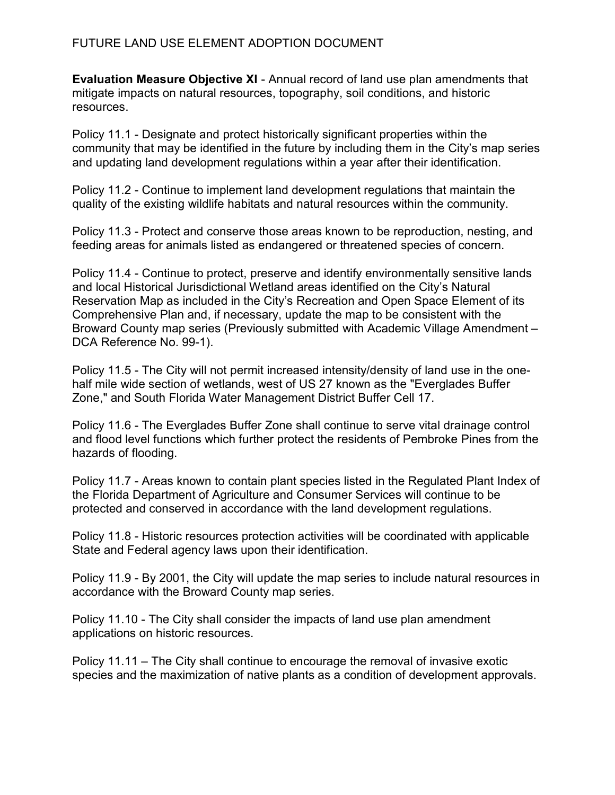Evaluation Measure Objective XI - Annual record of land use plan amendments that mitigate impacts on natural resources, topography, soil conditions, and historic resources.

Policy 11.1 - Designate and protect historically significant properties within the community that may be identified in the future by including them in the City's map series and updating land development regulations within a year after their identification.

Policy 11.2 - Continue to implement land development regulations that maintain the quality of the existing wildlife habitats and natural resources within the community.

Policy 11.3 - Protect and conserve those areas known to be reproduction, nesting, and feeding areas for animals listed as endangered or threatened species of concern.

Policy 11.4 - Continue to protect, preserve and identify environmentally sensitive lands and local Historical Jurisdictional Wetland areas identified on the City's Natural Reservation Map as included in the City's Recreation and Open Space Element of its Comprehensive Plan and, if necessary, update the map to be consistent with the Broward County map series (Previously submitted with Academic Village Amendment – DCA Reference No. 99-1).

Policy 11.5 - The City will not permit increased intensity/density of land use in the onehalf mile wide section of wetlands, west of US 27 known as the "Everglades Buffer Zone," and South Florida Water Management District Buffer Cell 17.

Policy 11.6 - The Everglades Buffer Zone shall continue to serve vital drainage control and flood level functions which further protect the residents of Pembroke Pines from the hazards of flooding.

Policy 11.7 - Areas known to contain plant species listed in the Regulated Plant Index of the Florida Department of Agriculture and Consumer Services will continue to be protected and conserved in accordance with the land development regulations.

Policy 11.8 - Historic resources protection activities will be coordinated with applicable State and Federal agency laws upon their identification.

Policy 11.9 - By 2001, the City will update the map series to include natural resources in accordance with the Broward County map series.

Policy 11.10 - The City shall consider the impacts of land use plan amendment applications on historic resources.

Policy 11.11 – The City shall continue to encourage the removal of invasive exotic species and the maximization of native plants as a condition of development approvals.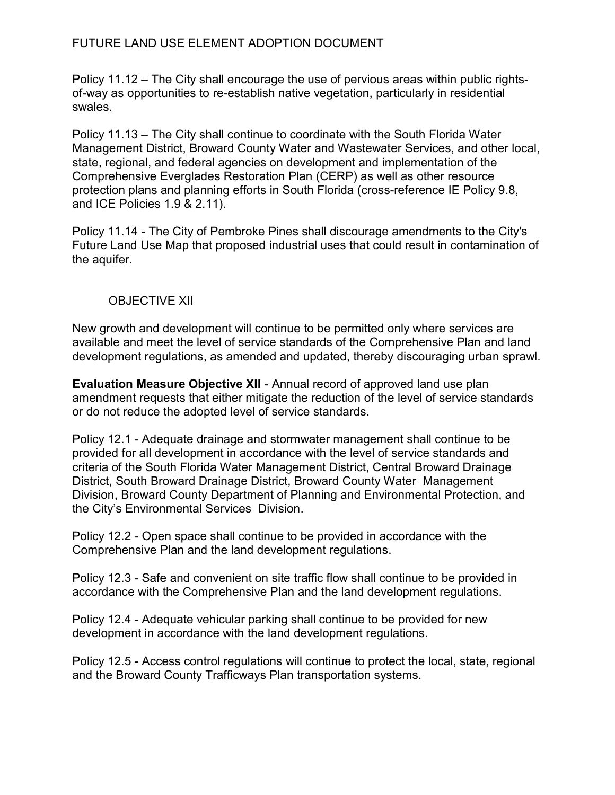Policy 11.12 – The City shall encourage the use of pervious areas within public rightsof-way as opportunities to re-establish native vegetation, particularly in residential swales.

Policy 11.13 – The City shall continue to coordinate with the South Florida Water Management District, Broward County Water and Wastewater Services, and other local, state, regional, and federal agencies on development and implementation of the Comprehensive Everglades Restoration Plan (CERP) as well as other resource protection plans and planning efforts in South Florida (cross-reference IE Policy 9.8, and ICE Policies 1.9 & 2.11).

Policy 11.14 - The City of Pembroke Pines shall discourage amendments to the City's Future Land Use Map that proposed industrial uses that could result in contamination of the aquifer.

### OBJECTIVE XII

New growth and development will continue to be permitted only where services are available and meet the level of service standards of the Comprehensive Plan and land development regulations, as amended and updated, thereby discouraging urban sprawl.

Evaluation Measure Objective XII - Annual record of approved land use plan amendment requests that either mitigate the reduction of the level of service standards or do not reduce the adopted level of service standards.

Policy 12.1 - Adequate drainage and stormwater management shall continue to be provided for all development in accordance with the level of service standards and criteria of the South Florida Water Management District, Central Broward Drainage District, South Broward Drainage District, Broward County Water Management Division, Broward County Department of Planning and Environmental Protection, and the City's Environmental Services Division.

Policy 12.2 - Open space shall continue to be provided in accordance with the Comprehensive Plan and the land development regulations.

Policy 12.3 - Safe and convenient on site traffic flow shall continue to be provided in accordance with the Comprehensive Plan and the land development regulations.

Policy 12.4 - Adequate vehicular parking shall continue to be provided for new development in accordance with the land development regulations.

Policy 12.5 - Access control regulations will continue to protect the local, state, regional and the Broward County Trafficways Plan transportation systems.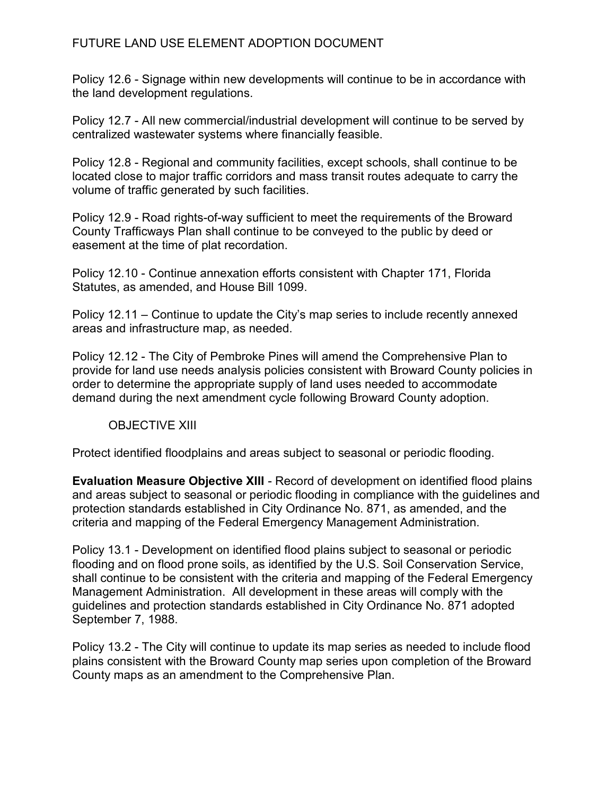Policy 12.6 - Signage within new developments will continue to be in accordance with the land development regulations.

Policy 12.7 - All new commercial/industrial development will continue to be served by centralized wastewater systems where financially feasible.

Policy 12.8 - Regional and community facilities, except schools, shall continue to be located close to major traffic corridors and mass transit routes adequate to carry the volume of traffic generated by such facilities.

Policy 12.9 - Road rights-of-way sufficient to meet the requirements of the Broward County Trafficways Plan shall continue to be conveyed to the public by deed or easement at the time of plat recordation.

Policy 12.10 - Continue annexation efforts consistent with Chapter 171, Florida Statutes, as amended, and House Bill 1099.

Policy 12.11 – Continue to update the City's map series to include recently annexed areas and infrastructure map, as needed.

Policy 12.12 - The City of Pembroke Pines will amend the Comprehensive Plan to provide for land use needs analysis policies consistent with Broward County policies in order to determine the appropriate supply of land uses needed to accommodate demand during the next amendment cycle following Broward County adoption.

### OBJECTIVE XIII

Protect identified floodplains and areas subject to seasonal or periodic flooding.

Evaluation Measure Objective XIII - Record of development on identified flood plains and areas subject to seasonal or periodic flooding in compliance with the guidelines and protection standards established in City Ordinance No. 871, as amended, and the criteria and mapping of the Federal Emergency Management Administration.

Policy 13.1 - Development on identified flood plains subject to seasonal or periodic flooding and on flood prone soils, as identified by the U.S. Soil Conservation Service, shall continue to be consistent with the criteria and mapping of the Federal Emergency Management Administration. All development in these areas will comply with the guidelines and protection standards established in City Ordinance No. 871 adopted September 7, 1988.

Policy 13.2 - The City will continue to update its map series as needed to include flood plains consistent with the Broward County map series upon completion of the Broward County maps as an amendment to the Comprehensive Plan.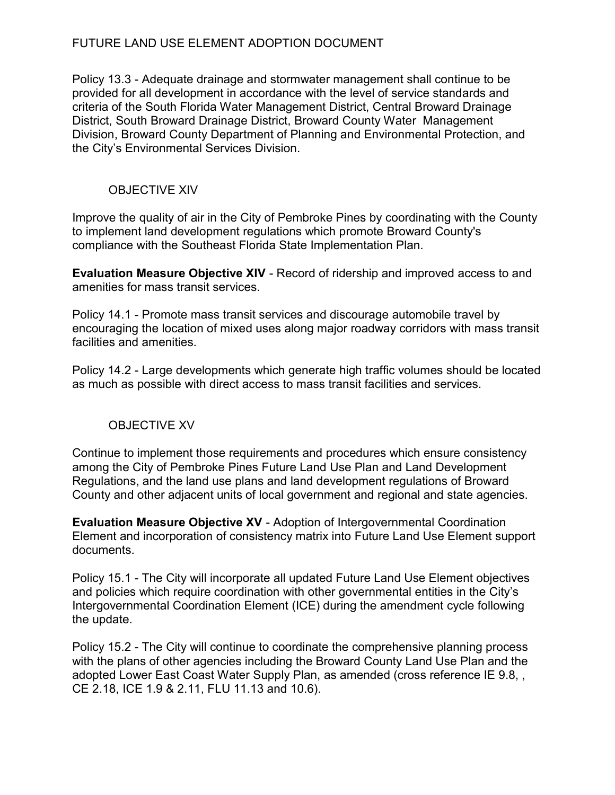Policy 13.3 - Adequate drainage and stormwater management shall continue to be provided for all development in accordance with the level of service standards and criteria of the South Florida Water Management District, Central Broward Drainage District, South Broward Drainage District, Broward County Water Management Division, Broward County Department of Planning and Environmental Protection, and the City's Environmental Services Division.

## OBJECTIVE XIV

Improve the quality of air in the City of Pembroke Pines by coordinating with the County to implement land development regulations which promote Broward County's compliance with the Southeast Florida State Implementation Plan.

Evaluation Measure Objective XIV - Record of ridership and improved access to and amenities for mass transit services.

Policy 14.1 - Promote mass transit services and discourage automobile travel by encouraging the location of mixed uses along major roadway corridors with mass transit facilities and amenities.

Policy 14.2 - Large developments which generate high traffic volumes should be located as much as possible with direct access to mass transit facilities and services.

## OBJECTIVE XV

Continue to implement those requirements and procedures which ensure consistency among the City of Pembroke Pines Future Land Use Plan and Land Development Regulations, and the land use plans and land development regulations of Broward County and other adjacent units of local government and regional and state agencies.

Evaluation Measure Objective XV - Adoption of Intergovernmental Coordination Element and incorporation of consistency matrix into Future Land Use Element support documents.

Policy 15.1 - The City will incorporate all updated Future Land Use Element objectives and policies which require coordination with other governmental entities in the City's Intergovernmental Coordination Element (ICE) during the amendment cycle following the update.

Policy 15.2 - The City will continue to coordinate the comprehensive planning process with the plans of other agencies including the Broward County Land Use Plan and the adopted Lower East Coast Water Supply Plan, as amended (cross reference IE 9.8, , CE 2.18, ICE 1.9 & 2.11, FLU 11.13 and 10.6).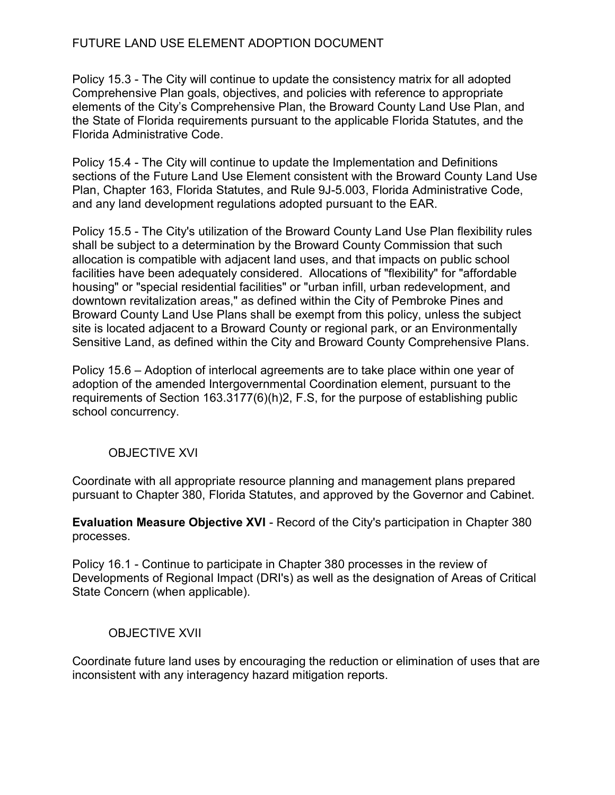Policy 15.3 - The City will continue to update the consistency matrix for all adopted Comprehensive Plan goals, objectives, and policies with reference to appropriate elements of the City's Comprehensive Plan, the Broward County Land Use Plan, and the State of Florida requirements pursuant to the applicable Florida Statutes, and the Florida Administrative Code.

Policy 15.4 - The City will continue to update the Implementation and Definitions sections of the Future Land Use Element consistent with the Broward County Land Use Plan, Chapter 163, Florida Statutes, and Rule 9J-5.003, Florida Administrative Code, and any land development regulations adopted pursuant to the EAR.

Policy 15.5 - The City's utilization of the Broward County Land Use Plan flexibility rules shall be subject to a determination by the Broward County Commission that such allocation is compatible with adjacent land uses, and that impacts on public school facilities have been adequately considered. Allocations of "flexibility" for "affordable housing" or "special residential facilities" or "urban infill, urban redevelopment, and downtown revitalization areas," as defined within the City of Pembroke Pines and Broward County Land Use Plans shall be exempt from this policy, unless the subject site is located adjacent to a Broward County or regional park, or an Environmentally Sensitive Land, as defined within the City and Broward County Comprehensive Plans.

Policy 15.6 – Adoption of interlocal agreements are to take place within one year of adoption of the amended Intergovernmental Coordination element, pursuant to the requirements of Section 163.3177(6)(h)2, F.S, for the purpose of establishing public school concurrency.

## OBJECTIVE XVI

Coordinate with all appropriate resource planning and management plans prepared pursuant to Chapter 380, Florida Statutes, and approved by the Governor and Cabinet.

Evaluation Measure Objective XVI - Record of the City's participation in Chapter 380 processes.

Policy 16.1 - Continue to participate in Chapter 380 processes in the review of Developments of Regional Impact (DRI's) as well as the designation of Areas of Critical State Concern (when applicable).

### OBJECTIVE XVII

Coordinate future land uses by encouraging the reduction or elimination of uses that are inconsistent with any interagency hazard mitigation reports.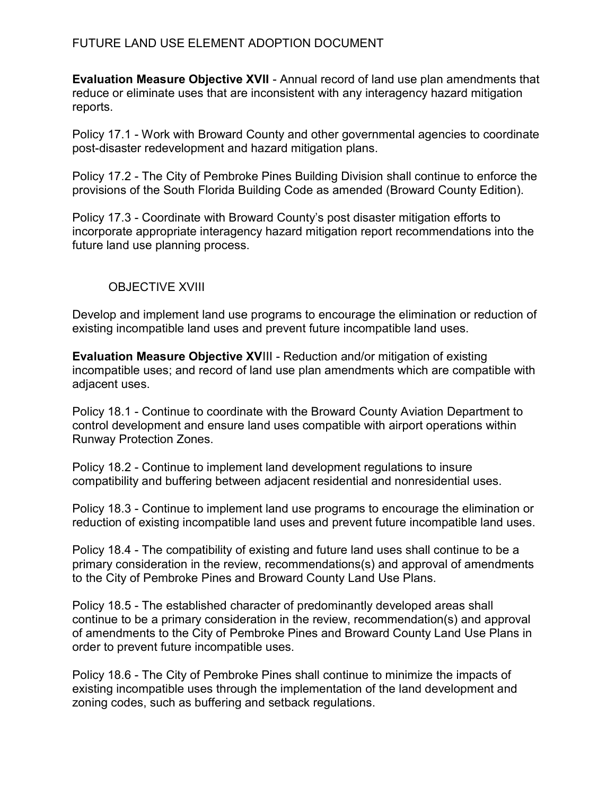Evaluation Measure Objective XVII - Annual record of land use plan amendments that reduce or eliminate uses that are inconsistent with any interagency hazard mitigation reports.

Policy 17.1 - Work with Broward County and other governmental agencies to coordinate post-disaster redevelopment and hazard mitigation plans.

Policy 17.2 - The City of Pembroke Pines Building Division shall continue to enforce the provisions of the South Florida Building Code as amended (Broward County Edition).

Policy 17.3 - Coordinate with Broward County's post disaster mitigation efforts to incorporate appropriate interagency hazard mitigation report recommendations into the future land use planning process.

## OBJECTIVE XVIII

Develop and implement land use programs to encourage the elimination or reduction of existing incompatible land uses and prevent future incompatible land uses.

Evaluation Measure Objective XVIII - Reduction and/or mitigation of existing incompatible uses; and record of land use plan amendments which are compatible with adjacent uses.

Policy 18.1 - Continue to coordinate with the Broward County Aviation Department to control development and ensure land uses compatible with airport operations within Runway Protection Zones.

Policy 18.2 - Continue to implement land development regulations to insure compatibility and buffering between adjacent residential and nonresidential uses.

Policy 18.3 - Continue to implement land use programs to encourage the elimination or reduction of existing incompatible land uses and prevent future incompatible land uses.

Policy 18.4 - The compatibility of existing and future land uses shall continue to be a primary consideration in the review, recommendations(s) and approval of amendments to the City of Pembroke Pines and Broward County Land Use Plans.

Policy 18.5 - The established character of predominantly developed areas shall continue to be a primary consideration in the review, recommendation(s) and approval of amendments to the City of Pembroke Pines and Broward County Land Use Plans in order to prevent future incompatible uses.

Policy 18.6 - The City of Pembroke Pines shall continue to minimize the impacts of existing incompatible uses through the implementation of the land development and zoning codes, such as buffering and setback regulations.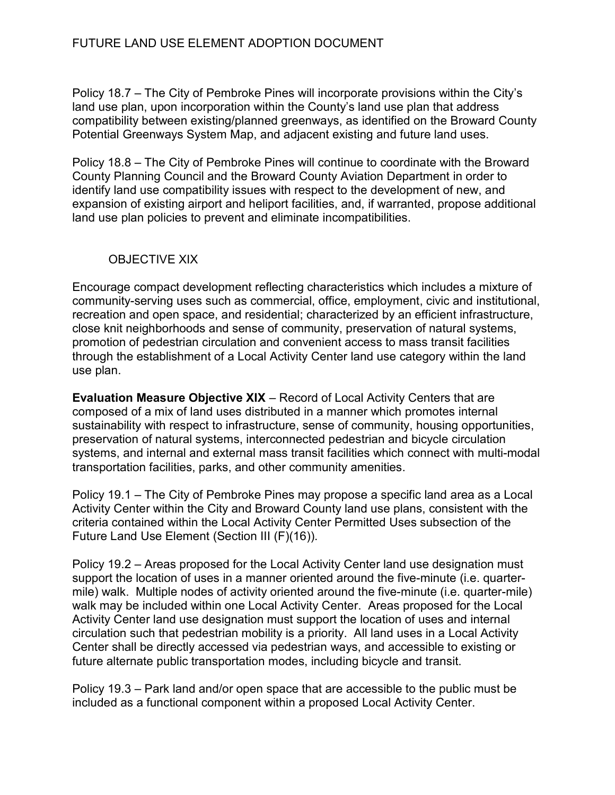Policy 18.7 – The City of Pembroke Pines will incorporate provisions within the City's land use plan, upon incorporation within the County's land use plan that address compatibility between existing/planned greenways, as identified on the Broward County Potential Greenways System Map, and adjacent existing and future land uses.

Policy 18.8 – The City of Pembroke Pines will continue to coordinate with the Broward County Planning Council and the Broward County Aviation Department in order to identify land use compatibility issues with respect to the development of new, and expansion of existing airport and heliport facilities, and, if warranted, propose additional land use plan policies to prevent and eliminate incompatibilities.

## OBJECTIVE XIX

Encourage compact development reflecting characteristics which includes a mixture of community-serving uses such as commercial, office, employment, civic and institutional, recreation and open space, and residential; characterized by an efficient infrastructure, close knit neighborhoods and sense of community, preservation of natural systems, promotion of pedestrian circulation and convenient access to mass transit facilities through the establishment of a Local Activity Center land use category within the land use plan.

Evaluation Measure Objective XIX – Record of Local Activity Centers that are composed of a mix of land uses distributed in a manner which promotes internal sustainability with respect to infrastructure, sense of community, housing opportunities, preservation of natural systems, interconnected pedestrian and bicycle circulation systems, and internal and external mass transit facilities which connect with multi-modal transportation facilities, parks, and other community amenities.

Policy 19.1 – The City of Pembroke Pines may propose a specific land area as a Local Activity Center within the City and Broward County land use plans, consistent with the criteria contained within the Local Activity Center Permitted Uses subsection of the Future Land Use Element (Section III (F)(16)).

Policy 19.2 – Areas proposed for the Local Activity Center land use designation must support the location of uses in a manner oriented around the five-minute (i.e. quartermile) walk. Multiple nodes of activity oriented around the five-minute (i.e. quarter-mile) walk may be included within one Local Activity Center. Areas proposed for the Local Activity Center land use designation must support the location of uses and internal circulation such that pedestrian mobility is a priority. All land uses in a Local Activity Center shall be directly accessed via pedestrian ways, and accessible to existing or future alternate public transportation modes, including bicycle and transit.

Policy 19.3 – Park land and/or open space that are accessible to the public must be included as a functional component within a proposed Local Activity Center.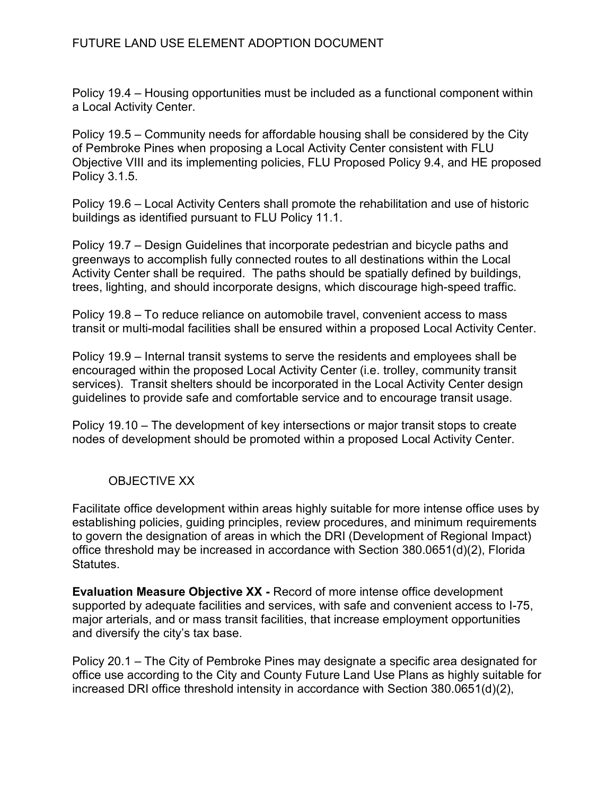Policy 19.4 – Housing opportunities must be included as a functional component within a Local Activity Center.

Policy 19.5 – Community needs for affordable housing shall be considered by the City of Pembroke Pines when proposing a Local Activity Center consistent with FLU Objective VIII and its implementing policies, FLU Proposed Policy 9.4, and HE proposed Policy 3.1.5.

Policy 19.6 – Local Activity Centers shall promote the rehabilitation and use of historic buildings as identified pursuant to FLU Policy 11.1.

Policy 19.7 – Design Guidelines that incorporate pedestrian and bicycle paths and greenways to accomplish fully connected routes to all destinations within the Local Activity Center shall be required. The paths should be spatially defined by buildings, trees, lighting, and should incorporate designs, which discourage high-speed traffic.

Policy 19.8 – To reduce reliance on automobile travel, convenient access to mass transit or multi-modal facilities shall be ensured within a proposed Local Activity Center.

Policy 19.9 – Internal transit systems to serve the residents and employees shall be encouraged within the proposed Local Activity Center (i.e. trolley, community transit services). Transit shelters should be incorporated in the Local Activity Center design guidelines to provide safe and comfortable service and to encourage transit usage.

Policy 19.10 – The development of key intersections or major transit stops to create nodes of development should be promoted within a proposed Local Activity Center.

# OBJECTIVE XX

Facilitate office development within areas highly suitable for more intense office uses by establishing policies, guiding principles, review procedures, and minimum requirements to govern the designation of areas in which the DRI (Development of Regional Impact) office threshold may be increased in accordance with Section 380.0651(d)(2), Florida Statutes.

Evaluation Measure Objective XX - Record of more intense office development supported by adequate facilities and services, with safe and convenient access to I-75, major arterials, and or mass transit facilities, that increase employment opportunities and diversify the city's tax base.

Policy 20.1 – The City of Pembroke Pines may designate a specific area designated for office use according to the City and County Future Land Use Plans as highly suitable for increased DRI office threshold intensity in accordance with Section 380.0651(d)(2),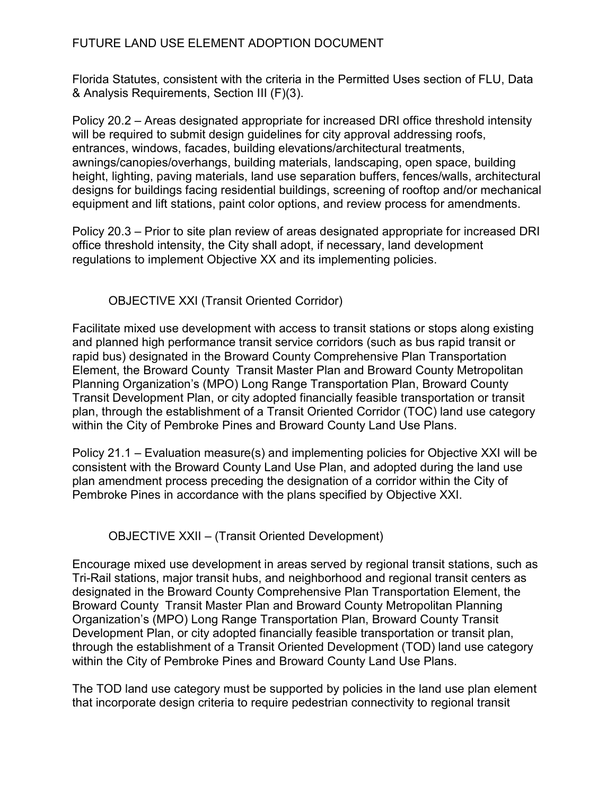Florida Statutes, consistent with the criteria in the Permitted Uses section of FLU, Data & Analysis Requirements, Section III (F)(3).

Policy 20.2 – Areas designated appropriate for increased DRI office threshold intensity will be required to submit design quidelines for city approval addressing roofs, entrances, windows, facades, building elevations/architectural treatments, awnings/canopies/overhangs, building materials, landscaping, open space, building height, lighting, paving materials, land use separation buffers, fences/walls, architectural designs for buildings facing residential buildings, screening of rooftop and/or mechanical equipment and lift stations, paint color options, and review process for amendments.

Policy 20.3 – Prior to site plan review of areas designated appropriate for increased DRI office threshold intensity, the City shall adopt, if necessary, land development regulations to implement Objective XX and its implementing policies.

## OBJECTIVE XXI (Transit Oriented Corridor)

Facilitate mixed use development with access to transit stations or stops along existing and planned high performance transit service corridors (such as bus rapid transit or rapid bus) designated in the Broward County Comprehensive Plan Transportation Element, the Broward County Transit Master Plan and Broward County Metropolitan Planning Organization's (MPO) Long Range Transportation Plan, Broward County Transit Development Plan, or city adopted financially feasible transportation or transit plan, through the establishment of a Transit Oriented Corridor (TOC) land use category within the City of Pembroke Pines and Broward County Land Use Plans.

Policy 21.1 – Evaluation measure(s) and implementing policies for Objective XXI will be consistent with the Broward County Land Use Plan, and adopted during the land use plan amendment process preceding the designation of a corridor within the City of Pembroke Pines in accordance with the plans specified by Objective XXI.

## OBJECTIVE XXII – (Transit Oriented Development)

Encourage mixed use development in areas served by regional transit stations, such as Tri-Rail stations, major transit hubs, and neighborhood and regional transit centers as designated in the Broward County Comprehensive Plan Transportation Element, the Broward County Transit Master Plan and Broward County Metropolitan Planning Organization's (MPO) Long Range Transportation Plan, Broward County Transit Development Plan, or city adopted financially feasible transportation or transit plan, through the establishment of a Transit Oriented Development (TOD) land use category within the City of Pembroke Pines and Broward County Land Use Plans.

The TOD land use category must be supported by policies in the land use plan element that incorporate design criteria to require pedestrian connectivity to regional transit